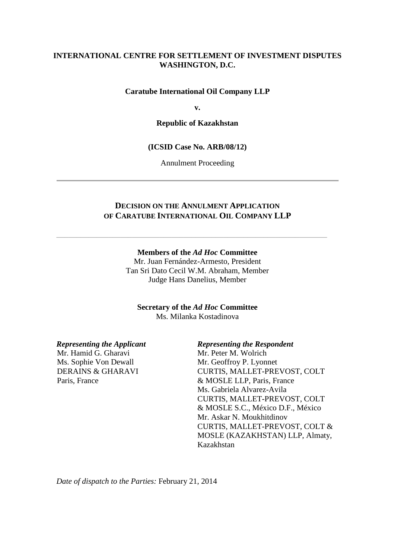# **INTERNATIONAL CENTRE FOR SETTLEMENT OF INVESTMENT DISPUTES WASHINGTON, D.C.**

#### **Caratube International Oil Company LLP**

**v.**

#### **Republic of Kazakhstan**

#### **(ICSID Case No. ARB/08/12)**

Annulment Proceeding

# **DECISION ON THE ANNULMENT APPLICATION OF CARATUBE INTERNATIONAL OIL COMPANY LLP**

#### **Members of the** *Ad Hoc* **Committee**

**\_\_\_\_\_\_\_\_\_\_\_\_\_\_\_\_\_\_\_\_\_\_\_\_\_\_\_\_\_\_\_\_\_\_\_\_\_\_\_\_\_\_\_\_\_\_\_\_\_\_\_\_\_\_\_\_\_\_\_\_\_\_\_\_\_\_\_\_**

Mr. Juan Fernández-Armesto, President Tan Sri Dato Cecil W.M. Abraham, Member Judge Hans Danelius, Member

#### **Secretary of the** *Ad Hoc* **Committee** Ms. Milanka Kostadinova

Mr. Hamid G. Gharavi Ms. Sophie Von Dewall DERAINS & GHARAVI Paris, France

#### *Representing the Applicant Representing the Respondent*

Mr. Peter M. Wolrich Mr. Geoffroy P. Lyonnet CURTIS, MALLET-PREVOST, COLT & MOSLE LLP, Paris, France Ms. Gabriela Alvarez-Avila CURTIS, MALLET-PREVOST, COLT & MOSLE S.C., México D.F., México Mr. Askar N. Moukhitdinov CURTIS, MALLET-PREVOST, COLT & MOSLE (KAZAKHSTAN) LLP, Almaty, Kazakhstan

*Date of dispatch to the Parties:* February 21, 2014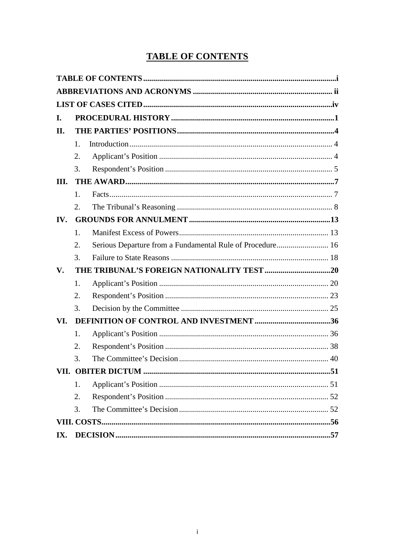# **TABLE OF CONTENTS**

<span id="page-1-0"></span>

| I.   |                                                                 |     |
|------|-----------------------------------------------------------------|-----|
| II.  |                                                                 |     |
|      | $\mathbf{1}$ .                                                  |     |
|      | 2.                                                              |     |
|      | 3.                                                              |     |
| III. |                                                                 |     |
|      | 1.                                                              |     |
|      | 2.                                                              |     |
| IV.  |                                                                 |     |
|      | 1.                                                              |     |
|      | Serious Departure from a Fundamental Rule of Procedure 16<br>2. |     |
|      | 3.                                                              |     |
| V.   |                                                                 |     |
|      | 1.                                                              |     |
|      | 2.                                                              |     |
|      | 3.                                                              |     |
| VI.  |                                                                 |     |
|      | 1.                                                              |     |
|      | 2.                                                              |     |
|      | 3.                                                              |     |
| VII. | <b>OBITER DICTUM </b>                                           | .51 |
|      | 1.                                                              |     |
|      | 2.                                                              |     |
|      | 3.                                                              |     |
|      |                                                                 |     |
| IX.  |                                                                 |     |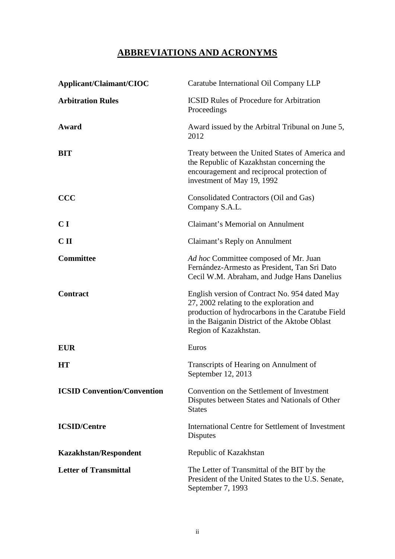# **ABBREVIATIONS AND ACRONYMS**

<span id="page-2-0"></span>

| Applicant/Claimant/CIOC            | Caratube International Oil Company LLP                                                                                                                                                                                  |
|------------------------------------|-------------------------------------------------------------------------------------------------------------------------------------------------------------------------------------------------------------------------|
| <b>Arbitration Rules</b>           | <b>ICSID Rules of Procedure for Arbitration</b><br>Proceedings                                                                                                                                                          |
| Award                              | Award issued by the Arbitral Tribunal on June 5,<br>2012                                                                                                                                                                |
| <b>BIT</b>                         | Treaty between the United States of America and<br>the Republic of Kazakhstan concerning the<br>encouragement and reciprocal protection of<br>investment of May 19, 1992                                                |
| <b>CCC</b>                         | Consolidated Contractors (Oil and Gas)<br>Company S.A.L.                                                                                                                                                                |
| C <sub>I</sub>                     | <b>Claimant's Memorial on Annulment</b>                                                                                                                                                                                 |
| C <sub>II</sub>                    | Claimant's Reply on Annulment                                                                                                                                                                                           |
| Committee                          | Ad hoc Committee composed of Mr. Juan<br>Fernández-Armesto as President, Tan Sri Dato<br>Cecil W.M. Abraham, and Judge Hans Danelius                                                                                    |
| <b>Contract</b>                    | English version of Contract No. 954 dated May<br>27, 2002 relating to the exploration and<br>production of hydrocarbons in the Caratube Field<br>in the Baiganin District of the Aktobe Oblast<br>Region of Kazakhstan. |
| <b>EUR</b>                         | Euros                                                                                                                                                                                                                   |
| <b>HT</b>                          | Transcripts of Hearing on Annulment of<br>September 12, 2013                                                                                                                                                            |
| <b>ICSID Convention/Convention</b> | Convention on the Settlement of Investment<br>Disputes between States and Nationals of Other<br><b>States</b>                                                                                                           |
| <b>ICSID/Centre</b>                | International Centre for Settlement of Investment<br>Disputes                                                                                                                                                           |
| <b>Kazakhstan/Respondent</b>       | Republic of Kazakhstan                                                                                                                                                                                                  |
| <b>Letter of Transmittal</b>       | The Letter of Transmittal of the BIT by the<br>President of the United States to the U.S. Senate,<br>September 7, 1993                                                                                                  |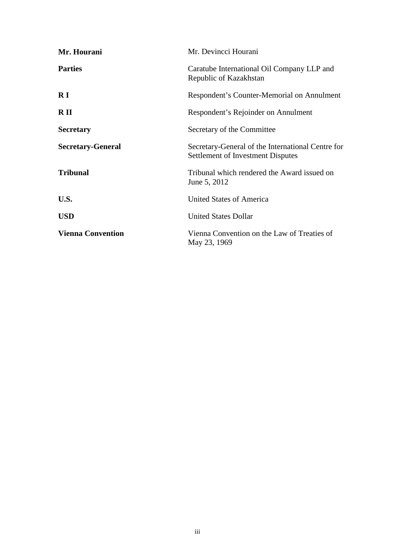| Mr. Hourani              | Mr. Devincci Hourani                                                                   |
|--------------------------|----------------------------------------------------------------------------------------|
| <b>Parties</b>           | Caratube International Oil Company LLP and<br>Republic of Kazakhstan                   |
| R <sub>I</sub>           | Respondent's Counter-Memorial on Annulment                                             |
| R II                     | Respondent's Rejoinder on Annulment                                                    |
| <b>Secretary</b>         | Secretary of the Committee                                                             |
| <b>Secretary-General</b> | Secretary-General of the International Centre for<br>Settlement of Investment Disputes |
| <b>Tribunal</b>          | Tribunal which rendered the Award issued on<br>June 5, 2012                            |
| U.S.                     | <b>United States of America</b>                                                        |
| <b>USD</b>               | <b>United States Dollar</b>                                                            |
| <b>Vienna Convention</b> | Vienna Convention on the Law of Treaties of<br>May 23, 1969                            |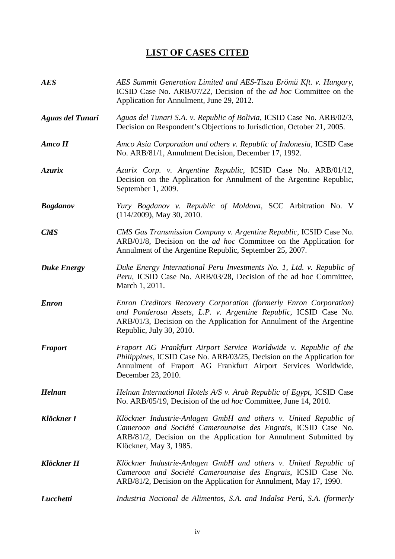# **LIST OF CASES CITED**

<span id="page-4-0"></span>

| <b>AES</b>              | AES Summit Generation Limited and AES-Tisza Erömü Kft. v. Hungary,<br>ICSID Case No. ARB/07/22, Decision of the <i>ad hoc</i> Committee on the<br>Application for Annulment, June 29, 2012.                                                |
|-------------------------|--------------------------------------------------------------------------------------------------------------------------------------------------------------------------------------------------------------------------------------------|
| <b>Aguas del Tunari</b> | Aguas del Tunari S.A. v. Republic of Bolivia, ICSID Case No. ARB/02/3,<br>Decision on Respondent's Objections to Jurisdiction, October 21, 2005.                                                                                           |
| Amco II                 | Amco Asia Corporation and others v. Republic of Indonesia, ICSID Case<br>No. ARB/81/1, Annulment Decision, December 17, 1992.                                                                                                              |
| Azurix                  | Azurix Corp. v. Argentine Republic, ICSID Case No. ARB/01/12,<br>Decision on the Application for Annulment of the Argentine Republic,<br>September 1, 2009.                                                                                |
| <b>Bogdanov</b>         | Yury Bogdanov v. Republic of Moldova, SCC Arbitration No. V<br>$(114/2009)$ , May 30, 2010.                                                                                                                                                |
| <b>CMS</b>              | CMS Gas Transmission Company v. Argentine Republic, ICSID Case No.<br>ARB/01/8, Decision on the <i>ad hoc</i> Committee on the Application for<br>Annulment of the Argentine Republic, September 25, 2007.                                 |
| <b>Duke Energy</b>      | Duke Energy International Peru Investments No. 1, Ltd. v. Republic of<br>Peru, ICSID Case No. ARB/03/28, Decision of the ad hoc Committee,<br>March 1, 2011.                                                                               |
| <b>Enron</b>            | Enron Creditors Recovery Corporation (formerly Enron Corporation)<br>and Ponderosa Assets, L.P. v. Argentine Republic, ICSID Case No.<br>ARB/01/3, Decision on the Application for Annulment of the Argentine<br>Republic, July 30, 2010.  |
| <b>Fraport</b>          | Fraport AG Frankfurt Airport Service Worldwide v. Republic of the<br><i>Philippines</i> , ICSID Case No. ARB/03/25, Decision on the Application for<br>Annulment of Fraport AG Frankfurt Airport Services Worldwide,<br>December 23, 2010. |
| Helnan                  | Helnan International Hotels A/S v. Arab Republic of Egypt, ICSID Case<br>No. ARB/05/19, Decision of the <i>ad hoc</i> Committee, June 14, 2010.                                                                                            |
| Klöckner I              | Klöckner Industrie-Anlagen GmbH and others v. United Republic of<br>Cameroon and Société Camerounaise des Engrais, ICSID Case No.<br>ARB/81/2, Decision on the Application for Annulment Submitted by<br>Klöckner, May 3, 1985.            |
| <b>Klöckner II</b>      | Klöckner Industrie-Anlagen GmbH and others v. United Republic of<br>Cameroon and Société Camerounaise des Engrais, ICSID Case No.<br>ARB/81/2, Decision on the Application for Annulment, May 17, 1990.                                    |
| Lucchetti               | Industria Nacional de Alimentos, S.A. and Indalsa Perú, S.A. (formerly                                                                                                                                                                     |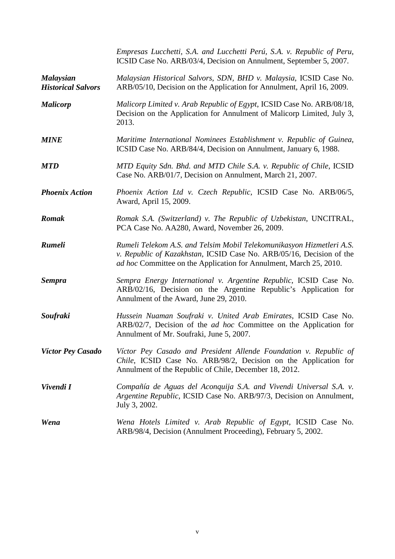|                                               | Empresas Lucchetti, S.A. and Lucchetti Perú, S.A. v. Republic of Peru,<br>ICSID Case No. ARB/03/4, Decision on Annulment, September 5, 2007.                                                                        |
|-----------------------------------------------|---------------------------------------------------------------------------------------------------------------------------------------------------------------------------------------------------------------------|
| <b>Malaysian</b><br><b>Historical Salvors</b> | Malaysian Historical Salvors, SDN, BHD v. Malaysia, ICSID Case No.<br>ARB/05/10, Decision on the Application for Annulment, April 16, 2009.                                                                         |
| <b>Malicorp</b>                               | Malicorp Limited v. Arab Republic of Egypt, ICSID Case No. ARB/08/18,<br>Decision on the Application for Annulment of Malicorp Limited, July 3,<br>2013.                                                            |
| <b>MINE</b>                                   | Maritime International Nominees Establishment v. Republic of Guinea,<br>ICSID Case No. ARB/84/4, Decision on Annulment, January 6, 1988.                                                                            |
| <b>MTD</b>                                    | MTD Equity Sdn. Bhd. and MTD Chile S.A. v. Republic of Chile, ICSID<br>Case No. ARB/01/7, Decision on Annulment, March 21, 2007.                                                                                    |
| <b>Phoenix Action</b>                         | Phoenix Action Ltd v. Czech Republic, ICSID Case No. ARB/06/5,<br>Award, April 15, 2009.                                                                                                                            |
| <b>Romak</b>                                  | Romak S.A. (Switzerland) v. The Republic of Uzbekistan, UNCITRAL,<br>PCA Case No. AA280, Award, November 26, 2009.                                                                                                  |
| <b>Rumeli</b>                                 | Rumeli Telekom A.S. and Telsim Mobil Telekomunikasyon Hizmetleri A.S.<br>v. Republic of Kazakhstan, ICSID Case No. ARB/05/16, Decision of the<br>ad hoc Committee on the Application for Annulment, March 25, 2010. |
| <b>Sempra</b>                                 | Sempra Energy International v. Argentine Republic, ICSID Case No.<br>ARB/02/16, Decision on the Argentine Republic's Application for<br>Annulment of the Award, June 29, 2010.                                      |
| Soufraki                                      | Hussein Nuaman Soufraki v. United Arab Emirates, ICSID Case No.<br>ARB/02/7, Decision of the <i>ad hoc</i> Committee on the Application for<br>Annulment of Mr. Soufraki, June 5, 2007.                             |
| <b>Víctor Pey Casado</b>                      | Víctor Pey Casado and President Allende Foundation v. Republic of<br><i>Chile</i> , ICSID Case No. ARB/98/2, Decision on the Application for<br>Annulment of the Republic of Chile, December 18, 2012.              |
| Vivendi I                                     | Compañía de Aguas del Aconquija S.A. and Vivendi Universal S.A. v.<br>Argentine Republic, ICSID Case No. ARB/97/3, Decision on Annulment,<br>July 3, 2002.                                                          |
| Wena                                          | Wena Hotels Limited v. Arab Republic of Egypt, ICSID Case No.<br>ARB/98/4, Decision (Annulment Proceeding), February 5, 2002.                                                                                       |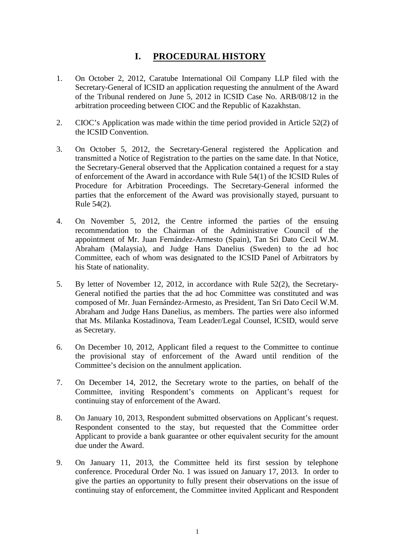# **I. PROCEDURAL HISTORY**

- <span id="page-6-0"></span>1. On October 2, 2012, Caratube International Oil Company LLP filed with the Secretary-General of ICSID an application requesting the annulment of the Award of the Tribunal rendered on June 5, 2012 in ICSID Case No. ARB/08/12 in the arbitration proceeding between CIOC and the Republic of Kazakhstan.
- 2. CIOC's Application was made within the time period provided in Article 52(2) of the ICSID Convention.
- 3. On October 5, 2012, the Secretary-General registered the Application and transmitted a Notice of Registration to the parties on the same date. In that Notice, the Secretary-General observed that the Application contained a request for a stay of enforcement of the Award in accordance with Rule 54(1) of the ICSID Rules of Procedure for Arbitration Proceedings. The Secretary-General informed the parties that the enforcement of the Award was provisionally stayed, pursuant to Rule 54(2).
- 4. On November 5, 2012, the Centre informed the parties of the ensuing recommendation to the Chairman of the Administrative Council of the appointment of Mr. Juan Fernández-Armesto (Spain), Tan Sri Dato Cecil W.M. Abraham (Malaysia), and Judge Hans Danelius (Sweden) to the ad hoc Committee, each of whom was designated to the ICSID Panel of Arbitrators by his State of nationality.
- 5. By letter of November 12, 2012, in accordance with Rule 52(2), the Secretary-General notified the parties that the ad hoc Committee was constituted and was composed of Mr. Juan Fernández-Armesto, as President, Tan Sri Dato Cecil W.M. Abraham and Judge Hans Danelius, as members. The parties were also informed that Ms. Milanka Kostadinova, Team Leader/Legal Counsel, ICSID, would serve as Secretary.
- 6. On December 10, 2012, Applicant filed a request to the Committee to continue the provisional stay of enforcement of the Award until rendition of the Committee's decision on the annulment application.
- 7. On December 14, 2012, the Secretary wrote to the parties, on behalf of the Committee, inviting Respondent's comments on Applicant's request for continuing stay of enforcement of the Award.
- 8. On January 10, 2013, Respondent submitted observations on Applicant's request. Respondent consented to the stay, but requested that the Committee order Applicant to provide a bank guarantee or other equivalent security for the amount due under the Award.
- 9. On January 11, 2013, the Committee held its first session by telephone conference. Procedural Order No. 1 was issued on January 17, 2013. In order to give the parties an opportunity to fully present their observations on the issue of continuing stay of enforcement, the Committee invited Applicant and Respondent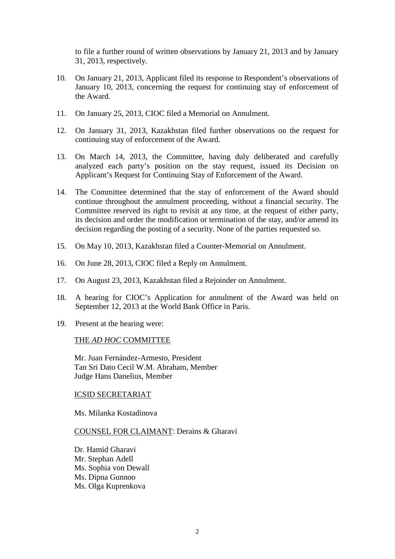to file a further round of written observations by January 21, 2013 and by January 31, 2013, respectively.

- 10. On January 21, 2013, Applicant filed its response to Respondent's observations of January 10, 2013, concerning the request for continuing stay of enforcement of the Award.
- 11. On January 25, 2013, CIOC filed a Memorial on Annulment.
- 12. On January 31, 2013, Kazakhstan filed further observations on the request for continuing stay of enforcement of the Award.
- 13. On March 14, 2013, the Committee, having duly deliberated and carefully analyzed each party's position on the stay request, issued its Decision on Applicant's Request for Continuing Stay of Enforcement of the Award.
- 14. The Committee determined that the stay of enforcement of the Award should continue throughout the annulment proceeding, without a financial security. The Committee reserved its right to revisit at any time, at the request of either party, its decision and order the modification or termination of the stay, and/or amend its decision regarding the posting of a security. None of the parties requested so.
- 15. On May 10, 2013, Kazakhstan filed a Counter-Memorial on Annulment.
- 16. On June 28, 2013, CIOC filed a Reply on Annulment.
- 17. On August 23, 2013, Kazakhstan filed a Rejoinder on Annulment.
- 18. A hearing for CIOC's Application for annulment of the Award was held on September 12, 2013 at the World Bank Office in Paris.
- 19. Present at the hearing were:

### THE *AD HOC* COMMITTEE

Mr. Juan Fernández-Armesto, President Tan Sri Dato Cecil W.M. Abraham, Member Judge Hans Danelius, Member

#### ICSID SECRETARIAT

Ms. Milanka Kostadinova

#### COUNSEL FOR CLAIMANT: Derains & Gharavi

Dr. Hamid Gharavi Mr. Stephan Adell Ms. Sophia von Dewall Ms. Dipna Gunnoo Ms. Olga Kuprenkova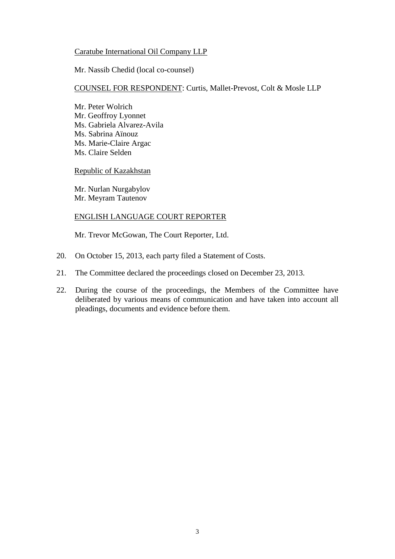# Caratube International Oil Company LLP

Mr. Nassib Chedid (local co-counsel)

#### COUNSEL FOR RESPONDENT: Curtis, Mallet-Prevost, Colt & Mosle LLP

Mr. Peter Wolrich Mr. Geoffroy Lyonnet Ms. Gabriela Alvarez-Avila Ms. Sabrina Aïnouz Ms. Marie-Claire Argac Ms. Claire Selden

Republic of Kazakhstan

Mr. Nurlan Nurgabylov Mr. Meyram Tautenov

# ENGLISH LANGUAGE COURT REPORTER

Mr. Trevor McGowan, The Court Reporter, Ltd.

- 20. On October 15, 2013, each party filed a Statement of Costs.
- 21. The Committee declared the proceedings closed on December 23, 2013.
- 22. During the course of the proceedings, the Members of the Committee have deliberated by various means of communication and have taken into account all pleadings, documents and evidence before them.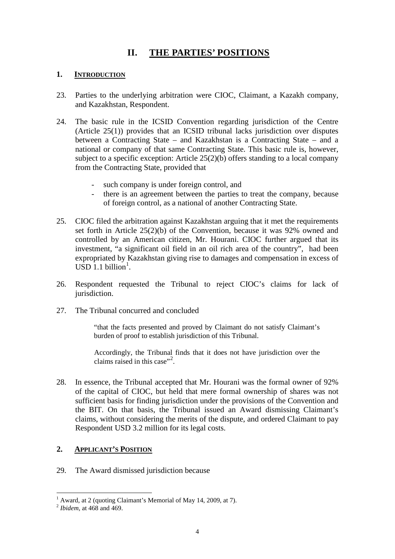# **II. THE PARTIES' POSITIONS**

# <span id="page-9-1"></span><span id="page-9-0"></span>**1. INTRODUCTION**

- 23. Parties to the underlying arbitration were CIOC, Claimant, a Kazakh company, and Kazakhstan, Respondent.
- 24. The basic rule in the ICSID Convention regarding jurisdiction of the Centre (Article 25(1)) provides that an ICSID tribunal lacks jurisdiction over disputes between a Contracting State – and Kazakhstan is a Contracting State – and a national or company of that same Contracting State. This basic rule is, however, subject to a specific exception: Article 25(2)(b) offers standing to a local company from the Contracting State, provided that
	- such company is under foreign control, and
	- there is an agreement between the parties to treat the company, because of foreign control, as a national of another Contracting State.
- 25. CIOC filed the arbitration against Kazakhstan arguing that it met the requirements set forth in Article 25(2)(b) of the Convention, because it was 92% owned and controlled by an American citizen, Mr. Hourani. CIOC further argued that its investment, "a significant oil field in an oil rich area of the country", had been expropriated by Kazakhstan giving rise to damages and compensation in excess of  $\overline{USD}$  [1](#page-9-3).1 billion<sup>1</sup>.
- 26. Respondent requested the Tribunal to reject CIOC's claims for lack of jurisdiction.
- 27. The Tribunal concurred and concluded

"that the facts presented and proved by Claimant do not satisfy Claimant's burden of proof to establish jurisdiction of this Tribunal.

Accordingly, the Tribunal finds that it does not have jurisdiction over the claims raised in this case"<sup>[2](#page-9-4)</sup>.

28. In essence, the Tribunal accepted that Mr. Hourani was the formal owner of 92% of the capital of CIOC, but held that mere formal ownership of shares was not sufficient basis for finding jurisdiction under the provisions of the Convention and the BIT. On that basis, the Tribunal issued an Award dismissing Claimant's claims, without considering the merits of the dispute, and ordered Claimant to pay Respondent USD 3.2 million for its legal costs.

# <span id="page-9-2"></span>**2. APPLICANT'S POSITION**

29. The Award dismissed jurisdiction because

<span id="page-9-3"></span><sup>1</sup> Award, at 2 (quoting Claimant's Memorial of May 14, 2009, at 7). <sup>2</sup> *Ibidem*, at 468 and 469.

<span id="page-9-4"></span>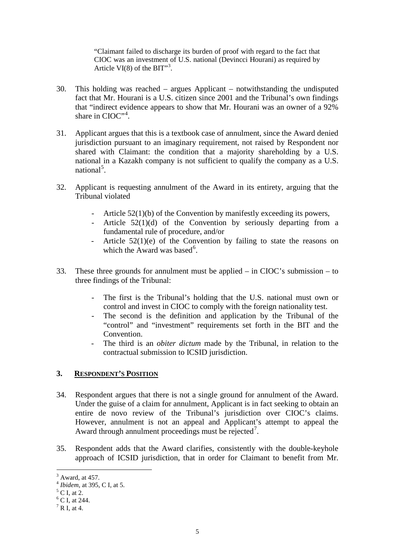"Claimant failed to discharge its burden of proof with regard to the fact that CIOC was an investment of U.S. national (Devincci Hourani) as required by Article VI $(8)$  of the BIT"<sup>[3](#page-10-1)</sup>.

- 30. This holding was reached argues Applicant notwithstanding the undisputed fact that Mr. Hourani is a U.S. citizen since 2001 and the Tribunal's own findings that "indirect evidence appears to show that Mr. Hourani was an owner of a 92% share in CIOC"<sup>[4](#page-10-2)</sup>.
- 31. Applicant argues that this is a textbook case of annulment, since the Award denied jurisdiction pursuant to an imaginary requirement, not raised by Respondent nor shared with Claimant: the condition that a majority shareholding by a U.S. national in a Kazakh company is not sufficient to qualify the company as a U.S. national<sup>[5](#page-10-3)</sup>.
- 32. Applicant is requesting annulment of the Award in its entirety, arguing that the Tribunal violated
	- Article 52(1)(b) of the Convention by manifestly exceeding its powers,
	- Article 52(1)(d) of the Convention by seriously departing from a fundamental rule of procedure, and/or
	- Article 52(1)(e) of the Convention by failing to state the reasons on which the Award was based<sup>[6](#page-10-4)</sup>.
- 33. These three grounds for annulment must be applied in CIOC's submission to three findings of the Tribunal:
	- The first is the Tribunal's holding that the U.S. national must own or control and invest in CIOC to comply with the foreign nationality test.
	- The second is the definition and application by the Tribunal of the "control" and "investment" requirements set forth in the BIT and the Convention.
	- The third is an *obiter dictum* made by the Tribunal, in relation to the contractual submission to ICSID jurisdiction.

# <span id="page-10-0"></span>**3. RESPONDENT'S POSITION**

- 34. Respondent argues that there is not a single ground for annulment of the Award. Under the guise of a claim for annulment, Applicant is in fact seeking to obtain an entire de novo review of the Tribunal's jurisdiction over CIOC's claims. However, annulment is not an appeal and Applicant's attempt to appeal the Award through annulment proceedings must be rejected<sup>[7](#page-10-5)</sup>.
- 35. Respondent adds that the Award clarifies, consistently with the double-keyhole approach of ICSID jurisdiction, that in order for Claimant to benefit from Mr.

<span id="page-10-1"></span><sup>&</sup>lt;sup>3</sup> Award, at 457.<br>
<sup>4</sup> *Ibidem*, at 395, C I, at 5.<br>
<sup>5</sup> C I, at 2.<br>
<sup>6</sup> C I, at 244.<br>
<sup>7</sup> R I, at 4.

<span id="page-10-3"></span><span id="page-10-2"></span>

<span id="page-10-4"></span>

<span id="page-10-5"></span>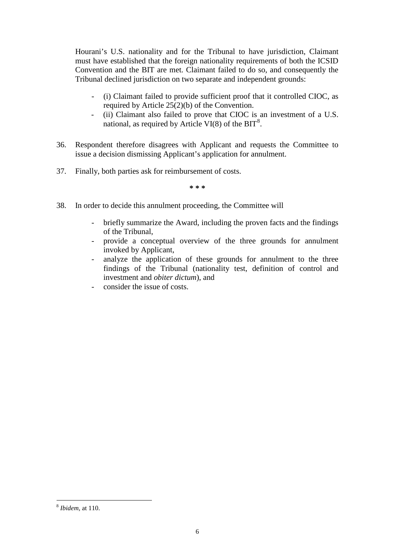Hourani's U.S. nationality and for the Tribunal to have jurisdiction, Claimant must have established that the foreign nationality requirements of both the ICSID Convention and the BIT are met. Claimant failed to do so, and consequently the Tribunal declined jurisdiction on two separate and independent grounds:

- (i) Claimant failed to provide sufficient proof that it controlled CIOC, as required by Article 25(2)(b) of the Convention.
- (ii) Claimant also failed to prove that CIOC is an investment of a U.S. national, as required by Article VI([8](#page-11-0)) of the BIT<sup>8</sup>.
- 36. Respondent therefore disagrees with Applicant and requests the Committee to issue a decision dismissing Applicant's application for annulment.
- 37. Finally, both parties ask for reimbursement of costs.

**\* \* \***

- 38. In order to decide this annulment proceeding, the Committee will
	- briefly summarize the Award, including the proven facts and the findings of the Tribunal,
	- provide a conceptual overview of the three grounds for annulment invoked by Applicant,
	- analyze the application of these grounds for annulment to the three findings of the Tribunal (nationality test, definition of control and investment and *obiter dictum*), and
	- consider the issue of costs.

<span id="page-11-0"></span> <sup>8</sup> *Ibidem*, at 110.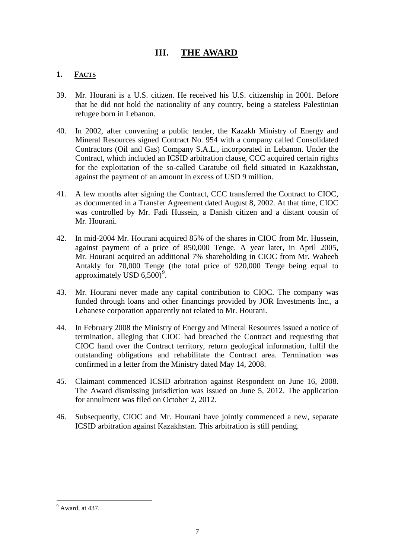# **III. THE AWARD**

# <span id="page-12-1"></span><span id="page-12-0"></span>**1. FACTS**

- 39. Mr. Hourani is a U.S. citizen. He received his U.S. citizenship in 2001. Before that he did not hold the nationality of any country, being a stateless Palestinian refugee born in Lebanon.
- 40. In 2002, after convening a public tender, the Kazakh Ministry of Energy and Mineral Resources signed Contract No. 954 with a company called Consolidated Contractors (Oil and Gas) Company S.A.L., incorporated in Lebanon. Under the Contract, which included an ICSID arbitration clause, CCC acquired certain rights for the exploitation of the so-called Caratube oil field situated in Kazakhstan, against the payment of an amount in excess of USD 9 million.
- 41. A few months after signing the Contract, CCC transferred the Contract to CIOC, as documented in a Transfer Agreement dated August 8, 2002. At that time, CIOC was controlled by Mr. Fadi Hussein, a Danish citizen and a distant cousin of Mr. Hourani.
- 42. In mid-2004 Mr. Hourani acquired 85% of the shares in CIOC from Mr. Hussein, against payment of a price of 850,000 Tenge. A year later, in April 2005, Mr. Hourani acquired an additional 7% shareholding in CIOC from Mr. Waheeb Antakly for 70,000 Tenge (the total price of 920,000 Tenge being equal to approximately USD  $6,500$ <sup>[9](#page-12-2)</sup>.
- 43. Mr. Hourani never made any capital contribution to CIOC. The company was funded through loans and other financings provided by JOR Investments Inc., a Lebanese corporation apparently not related to Mr. Hourani.
- 44. In February 2008 the Ministry of Energy and Mineral Resources issued a notice of termination, alleging that CIOC had breached the Contract and requesting that CIOC hand over the Contract territory, return geological information, fulfil the outstanding obligations and rehabilitate the Contract area. Termination was confirmed in a letter from the Ministry dated May 14, 2008.
- 45. Claimant commenced ICSID arbitration against Respondent on June 16, 2008. The Award dismissing jurisdiction was issued on June 5, 2012. The application for annulment was filed on October 2, 2012.
- 46. Subsequently, CIOC and Mr. Hourani have jointly commenced a new, separate ICSID arbitration against Kazakhstan. This arbitration is still pending.

<span id="page-12-2"></span> $<sup>9</sup>$  Award, at 437.</sup>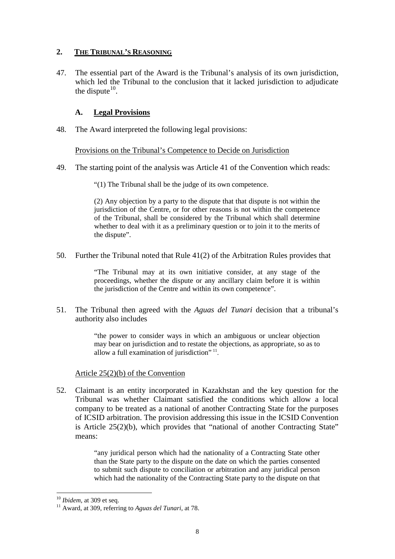# <span id="page-13-0"></span>**2. THE TRIBUNAL'S REASONING**

47. The essential part of the Award is the Tribunal's analysis of its own jurisdiction, which led the Tribunal to the conclusion that it lacked jurisdiction to adjudicate the dispute  $10<sup>10</sup>$  $10<sup>10</sup>$ .

# **A. Legal Provisions**

48. The Award interpreted the following legal provisions:

# Provisions on the Tribunal's Competence to Decide on Jurisdiction

- 49. The starting point of the analysis was Article 41 of the Convention which reads:
	- "(1) The Tribunal shall be the judge of its own competence.

(2) Any objection by a party to the dispute that that dispute is not within the jurisdiction of the Centre, or for other reasons is not within the competence of the Tribunal, shall be considered by the Tribunal which shall determine whether to deal with it as a preliminary question or to join it to the merits of the dispute".

50. Further the Tribunal noted that Rule 41(2) of the Arbitration Rules provides that

"The Tribunal may at its own initiative consider, at any stage of the proceedings, whether the dispute or any ancillary claim before it is within the jurisdiction of the Centre and within its own competence".

51. The Tribunal then agreed with the *Aguas del Tunari* decision that a tribunal's authority also includes

> "the power to consider ways in which an ambiguous or unclear objection may bear on jurisdiction and to restate the objections, as appropriate, so as to allow a full examination of jurisdiction" <sup>[11](#page-13-2)</sup>.

### Article 25(2)(b) of the Convention

52. Claimant is an entity incorporated in Kazakhstan and the key question for the Tribunal was whether Claimant satisfied the conditions which allow a local company to be treated as a national of another Contracting State for the purposes of ICSID arbitration. The provision addressing this issue in the ICSID Convention is Article 25(2)(b), which provides that "national of another Contracting State" means:

> "any juridical person which had the nationality of a Contracting State other than the State party to the dispute on the date on which the parties consented to submit such dispute to conciliation or arbitration and any juridical person which had the nationality of the Contracting State party to the dispute on that

<span id="page-13-2"></span><span id="page-13-1"></span><sup>&</sup>lt;sup>10</sup> *Ibidem*, at 309 et seq.<br><sup>11</sup> Award, at 309, referring to *Aguas del Tunari*, at 78.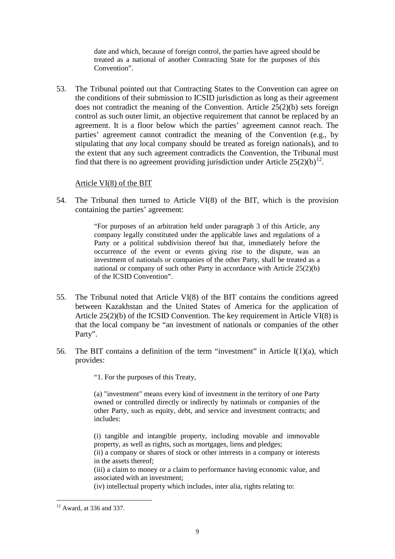date and which, because of foreign control, the parties have agreed should be treated as a national of another Contracting State for the purposes of this Convention".

53. The Tribunal pointed out that Contracting States to the Convention can agree on the conditions of their submission to ICSID jurisdiction as long as their agreement does not contradict the meaning of the Convention. Article 25(2)(b) sets foreign control as such outer limit, an objective requirement that cannot be replaced by an agreement. It is a floor below which the parties' agreement cannot reach. The parties' agreement cannot contradict the meaning of the Convention (e.g., by stipulating that *any* local company should be treated as foreign nationals), and to the extent that any such agreement contradicts the Convention, the Tribunal must find that there is no agreement providing jurisdiction under Article  $25(2)(b)^{12}$  $25(2)(b)^{12}$  $25(2)(b)^{12}$ .

### Article VI(8) of the BIT

54. The Tribunal then turned to Article VI(8) of the BIT, which is the provision containing the parties' agreement:

> "For purposes of an arbitration held under paragraph 3 of this Article, any company legally constituted under the applicable laws and regulations of a Party or a political subdivision thereof but that, immediately before the occurrence of the event or events giving rise to the dispute, was an investment of nationals or companies of the other Party, shall be treated as a national or company of such other Party in accordance with Article 25(2)(b) of the ICSID Convention".

- 55. The Tribunal noted that Article VI(8) of the BIT contains the conditions agreed between Kazakhstan and the United States of America for the application of Article 25(2)(b) of the ICSID Convention. The key requirement in Article VI(8) is that the local company be "an investment of nationals or companies of the other Party".
- 56. The BIT contains a definition of the term "investment" in Article  $I(1)(a)$ , which provides:

"1. For the purposes of this Treaty,

(a) "investment" means every kind of investment in the territory of one Party owned or controlled directly or indirectly by nationals or companies of the other Party, such as equity, debt, and service and investment contracts; and includes:

(i) tangible and intangible property, including movable and immovable property, as well as rights, such as mortgages, liens and pledges;

(ii) a company or shares of stock or other interests in a company or interests in the assets thereof;

(iii) a claim to money or a claim to performance having economic value, and associated with an investment;

(iv) intellectual property which includes, inter alia, rights relating to:

<span id="page-14-0"></span> <sup>12</sup> Award, at 336 and 337.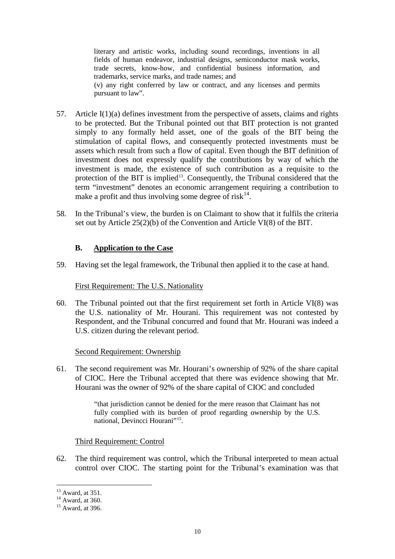literary and artistic works, including sound recordings, inventions in all fields of human endeavor, industrial designs, semiconductor mask works, trade secrets, know-how, and confidential business information, and trademarks, service marks, and trade names; and (v) any right conferred by law or contract, and any licenses and permits pursuant to law".

- 57. Article I(1)(a) defines investment from the perspective of assets, claims and rights to be protected. But the Tribunal pointed out that BIT protection is not granted simply to any formally held asset, one of the goals of the BIT being the stimulation of capital flows, and consequently protected investments must be assets which result from such a flow of capital. Even though the BIT definition of investment does not expressly qualify the contributions by way of which the investment is made, the existence of such contribution as a requisite to the protection of the BIT is implied<sup>13</sup>. Consequently, the Tribunal considered that the term "investment" denotes an economic arrangement requiring a contribution to make a profit and thus involving some degree of risk  $14$ .
- 58. In the Tribunal's view, the burden is on Claimant to show that it fulfils the criteria set out by Article 25(2)(b) of the Convention and Article VI(8) of the BIT.

# **B. Application to the Case**

59. Having set the legal framework, the Tribunal then applied it to the case at hand.

### First Requirement: The U.S. Nationality

60. The Tribunal pointed out that the first requirement set forth in Article VI(8) was the U.S. nationality of Mr. Hourani. This requirement was not contested by Respondent, and the Tribunal concurred and found that Mr. Hourani was indeed a U.S. citizen during the relevant period.

### Second Requirement: Ownership

61. The second requirement was Mr. Hourani's ownership of 92% of the share capital of CIOC. Here the Tribunal accepted that there was evidence showing that Mr. Hourani was the owner of 92% of the share capital of CIOC and concluded

> "that jurisdiction cannot be denied for the mere reason that Claimant has not fully complied with its burden of proof regarding ownership by the U.S. national, Devincci Hourani"<sup>[15](#page-15-2)</sup>.

# Third Requirement: Control

62. The third requirement was control, which the Tribunal interpreted to mean actual control over CIOC. The starting point for the Tribunal's examination was that

<span id="page-15-1"></span><span id="page-15-0"></span><sup>&</sup>lt;sup>13</sup> Award, at 351.<br><sup>14</sup> Award, at 360.<br><sup>15</sup> Award, at 396.

<span id="page-15-2"></span>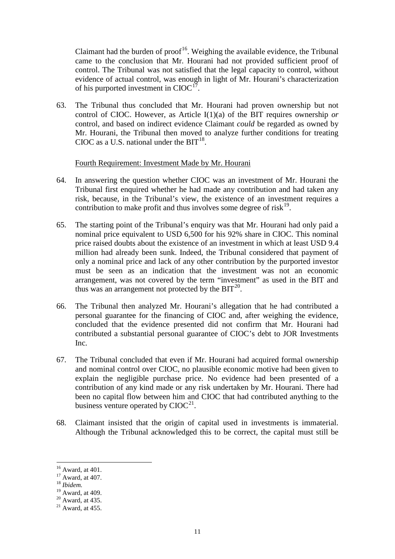Claimant had the burden of  $proof<sup>16</sup>$  $proof<sup>16</sup>$  $proof<sup>16</sup>$ . Weighing the available evidence, the Tribunal came to the conclusion that Mr. Hourani had not provided sufficient proof of control. The Tribunal was not satisfied that the legal capacity to control, without evidence of actual control, was enough in light of Mr. Hourani's characterization of his purported investment in  $CIOC<sup>17</sup>$  $CIOC<sup>17</sup>$  $CIOC<sup>17</sup>$ .

63. The Tribunal thus concluded that Mr. Hourani had proven ownership but not control of CIOC. However, as Article I(1)(a) of the BIT requires ownership *or* control, and based on indirect evidence Claimant *could* be regarded as owned by Mr. Hourani, the Tribunal then moved to analyze further conditions for treating CIOC as a U.S. national under the  $BIT^{18}$  $BIT^{18}$  $BIT^{18}$ .

### Fourth Requirement: Investment Made by Mr. Hourani

- 64. In answering the question whether CIOC was an investment of Mr. Hourani the Tribunal first enquired whether he had made any contribution and had taken any risk, because, in the Tribunal's view, the existence of an investment requires a contribution to make profit and thus involves some degree of risk<sup>[19](#page-16-3)</sup>.
- 65. The starting point of the Tribunal's enquiry was that Mr. Hourani had only paid a nominal price equivalent to USD 6,500 for his 92% share in CIOC. This nominal price raised doubts about the existence of an investment in which at least USD 9.4 million had already been sunk. Indeed, the Tribunal considered that payment of only a nominal price and lack of any other contribution by the purported investor must be seen as an indication that the investment was not an economic arrangement, was not covered by the term "investment" as used in the BIT and thus was an arrangement not protected by the  $BIT^{20}$ .
- 66. The Tribunal then analyzed Mr. Hourani's allegation that he had contributed a personal guarantee for the financing of CIOC and, after weighing the evidence, concluded that the evidence presented did not confirm that Mr. Hourani had contributed a substantial personal guarantee of CIOC's debt to JOR Investments Inc.
- 67. The Tribunal concluded that even if Mr. Hourani had acquired formal ownership and nominal control over CIOC, no plausible economic motive had been given to explain the negligible purchase price. No evidence had been presented of a contribution of any kind made or any risk undertaken by Mr. Hourani. There had been no capital flow between him and CIOC that had contributed anything to the business venture operated by  $CIOC<sup>21</sup>$ .
- 68. Claimant insisted that the origin of capital used in investments is immaterial. Although the Tribunal acknowledged this to be correct, the capital must still be

<span id="page-16-0"></span><sup>16</sup> Award, at 401. <sup>17</sup> Award, at 407. <sup>18</sup> *Ibidem.*

<span id="page-16-1"></span>

<span id="page-16-2"></span>

<span id="page-16-4"></span><span id="page-16-3"></span> $\frac{20}{21}$  Award, at 435.

<span id="page-16-5"></span>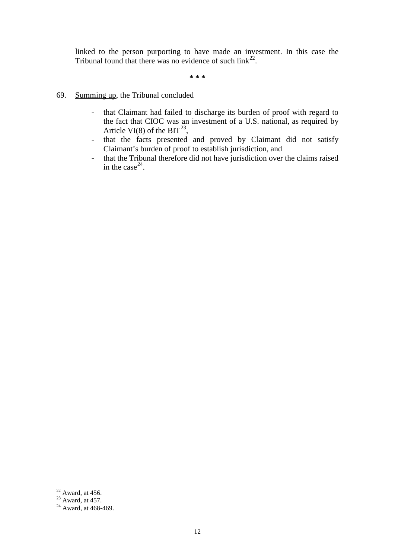linked to the person purporting to have made an investment. In this case the Tribunal found that there was no evidence of such  $\text{link}^{22}$  $\text{link}^{22}$  $\text{link}^{22}$ .

**\* \* \***

- 69. Summing up, the Tribunal concluded
	- that Claimant had failed to discharge its burden of proof with regard to the fact that CIOC was an investment of a U.S. national, as required by Article VI(8) of the BIT<sup>23</sup>,
	- that the facts presented and proved by Claimant did not satisfy Claimant's burden of proof to establish jurisdiction, and
	- that the Tribunal therefore did not have jurisdiction over the claims raised in the case $^{24}$  $^{24}$  $^{24}$ .

<span id="page-17-2"></span>

<span id="page-17-1"></span><span id="page-17-0"></span> $\frac{^{22}}{^{23}}$  Award, at 456.<br> $\frac{^{23}}{^{24}}$  Award, at 468-469.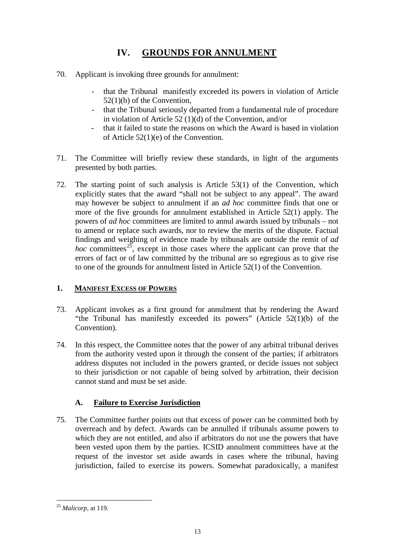# **IV. GROUNDS FOR ANNULMENT**

- <span id="page-18-0"></span>70. Applicant is invoking three grounds for annulment:
	- that the Tribunal manifestly exceeded its powers in violation of Article 52(1)(b) of the Convention,
	- that the Tribunal seriously departed from a fundamental rule of procedure in violation of Article 52 (1)(d) of the Convention, and/or
	- that it failed to state the reasons on which the Award is based in violation of Article 52(1)(e) of the Convention.
- 71. The Committee will briefly review these standards, in light of the arguments presented by both parties.
- 72. The starting point of such analysis is Article 53(1) of the Convention, which explicitly states that the award "shall not be subject to any appeal". The award may however be subject to annulment if an *ad hoc* committee finds that one or more of the five grounds for annulment established in Article 52(1) apply. The powers of *ad hoc* committees are limited to annul awards issued by tribunals – not to amend or replace such awards, nor to review the merits of the dispute. Factual findings and weighing of evidence made by tribunals are outside the remit of *ad hoc* committees<sup>[25](#page-18-2)</sup>, except in those cases where the applicant can prove that the errors of fact or of law committed by the tribunal are so egregious as to give rise to one of the grounds for annulment listed in Article 52(1) of the Convention.

# <span id="page-18-1"></span>**1. MANIFEST EXCESS OF POWERS**

- 73. Applicant invokes as a first ground for annulment that by rendering the Award "the Tribunal has manifestly exceeded its powers" (Article 52(1)(b) of the Convention).
- 74. In this respect, the Committee notes that the power of any arbitral tribunal derives from the authority vested upon it through the consent of the parties; if arbitrators address disputes not included in the powers granted, or decide issues not subject to their jurisdiction or not capable of being solved by arbitration, their decision cannot stand and must be set aside.

# **A. Failure to Exercise Jurisdiction**

75. The Committee further points out that excess of power can be committed both by overreach and by defect. Awards can be annulled if tribunals assume powers to which they are not entitled, and also if arbitrators do not use the powers that have been vested upon them by the parties. ICSID annulment committees have at the request of the investor set aside awards in cases where the tribunal, having jurisdiction, failed to exercise its powers. Somewhat paradoxically, a manifest

<span id="page-18-2"></span> <sup>25</sup> *Malicorp*, at 119.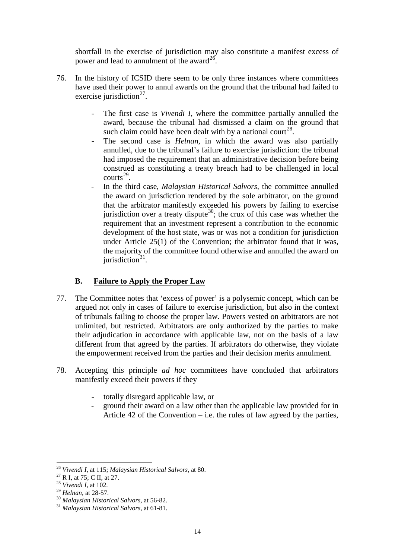shortfall in the exercise of jurisdiction may also constitute a manifest excess of power and lead to annulment of the award<sup>[26](#page-19-0)</sup>.

- 76. In the history of ICSID there seem to be only three instances where committees have used their power to annul awards on the ground that the tribunal had failed to exercise jurisdiction<sup>[27](#page-19-1)</sup>.
	- The first case is *Vivendi I*, where the committee partially annulled the award, because the tribunal had dismissed a claim on the ground that such claim could have been dealt with by a national court<sup>28</sup>.
	- The second case is *Helnan*, in which the award was also partially annulled, due to the tribunal's failure to exercise jurisdiction: the tribunal had imposed the requirement that an administrative decision before being construed as constituting a treaty breach had to be challenged in local  $counts<sup>29</sup>$  $counts<sup>29</sup>$  $counts<sup>29</sup>$ .
	- In the third case, *Malaysian Historical Salvors*, the committee annulled the award on jurisdiction rendered by the sole arbitrator, on the ground that the arbitrator manifestly exceeded his powers by failing to exercise jurisdiction over a treaty dispute<sup>[30](#page-19-4)</sup>; the crux of this case was whether the requirement that an investment represent a contribution to the economic development of the host state, was or was not a condition for jurisdiction under Article 25(1) of the Convention; the arbitrator found that it was, the majority of the committee found otherwise and annulled the award on jurisdiction $31$ .

# **B. Failure to Apply the Proper Law**

- 77. The Committee notes that 'excess of power' is a polysemic concept, which can be argued not only in cases of failure to exercise jurisdiction, but also in the context of tribunals failing to choose the proper law. Powers vested on arbitrators are not unlimited, but restricted. Arbitrators are only authorized by the parties to make their adjudication in accordance with applicable law, not on the basis of a law different from that agreed by the parties. If arbitrators do otherwise, they violate the empowerment received from the parties and their decision merits annulment.
- <span id="page-19-6"></span>78. Accepting this principle *ad hoc* committees have concluded that arbitrators manifestly exceed their powers if they
	- totally disregard applicable law, or
	- ground their award on a law other than the applicable law provided for in Article 42 of the Convention – i.e. the rules of law agreed by the parties,

<span id="page-19-1"></span><span id="page-19-0"></span><sup>26</sup> *Vivendi I,* at 115; *Malaysian Historical Salvors*, at 80. <sup>27</sup> R I, at 75; C II, at 27. <sup>28</sup> *Vivendi I,* at 102.

<span id="page-19-2"></span>

<span id="page-19-4"></span><span id="page-19-3"></span><sup>29</sup> *Helnan*, at 28-57. <sup>30</sup> *Malaysian Historical Salvors,* at 56-82. <sup>31</sup> *Malaysian Historical Salvors,* at 61-81.

<span id="page-19-5"></span>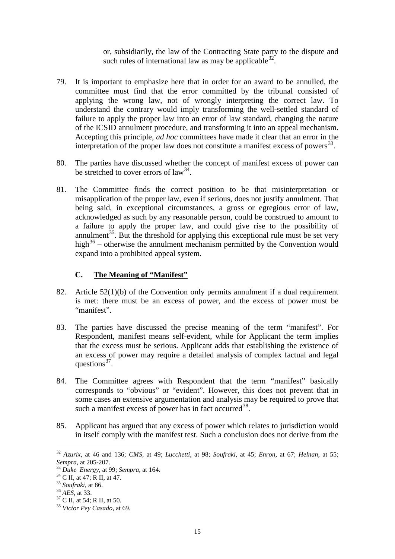or, subsidiarily, the law of the Contracting State party to the dispute and such rules of international law as may be applicable  $32$ .

- <span id="page-20-7"></span>79. It is important to emphasize here that in order for an award to be annulled, the committee must find that the error committed by the tribunal consisted of applying the wrong law, not of wrongly interpreting the correct law. To understand the contrary would imply transforming the well-settled standard of failure to apply the proper law into an error of law standard, changing the nature of the ICSID annulment procedure, and transforming it into an appeal mechanism. Accepting this principle, *ad hoc* committees have made it clear that an error in the interpretation of the proper law does not constitute a manifest excess of powers<sup>33</sup>.
- 80. The parties have discussed whether the concept of manifest excess of power can be stretched to cover errors of law<sup>34</sup>
- <span id="page-20-8"></span>81. The Committee finds the correct position to be that misinterpretation or misapplication of the proper law, even if serious, does not justify annulment. That being said, in exceptional circumstances, a gross or egregious error of law, acknowledged as such by any reasonable person, could be construed to amount to a failure to apply the proper law, and could give rise to the possibility of annulment<sup>35</sup>. But the threshold for applying this exceptional rule must be set very high<sup>[36](#page-20-4)</sup> – otherwise the annulment mechanism permitted by the Convention would expand into a prohibited appeal system.

# **C. The Meaning of "Manifest"**

- 82. Article 52(1)(b) of the Convention only permits annulment if a dual requirement is met: there must be an excess of power, and the excess of power must be "manifest".
- 83. The parties have discussed the precise meaning of the term "manifest". For Respondent, manifest means self-evident, while for Applicant the term implies that the excess must be serious. Applicant adds that establishing the existence of an excess of power may require a detailed analysis of complex factual and legal questions $37$ .
- 84. The Committee agrees with Respondent that the term "manifest" basically corresponds to "obvious" or "evident". However, this does not prevent that in some cases an extensive argumentation and analysis may be required to prove that such a manifest excess of power has in fact occurred<sup>[38](#page-20-6)</sup>.
- 85. Applicant has argued that any excess of power which relates to jurisdiction would in itself comply with the manifest test. Such a conclusion does not derive from the

<span id="page-20-0"></span> <sup>32</sup> *Azurix*, at 46 and 136; *CMS*, at 49; *Lucchetti*, at 98; *Soufraki*, at 45; *Enron*, at 67; *Helnan*, at 55;

<span id="page-20-2"></span><span id="page-20-1"></span>*Sa Duke Energy*, at 99; *Sempra*, at 164.<br><sup>34</sup> C II, at 47; R II, at 47.<br><sup>35</sup> *Soufraki*, at 86.<br><sup>36</sup> *AES*, at 33.<br><sup>37</sup> C II, at 54; R II, at 50.<br><sup>38</sup> *Victor Pey Casado*, at 69.

<span id="page-20-3"></span>

<span id="page-20-4"></span>

<span id="page-20-5"></span>

<span id="page-20-6"></span>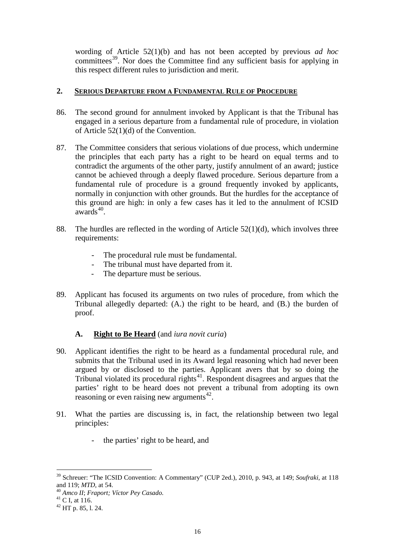wording of Article 52(1)(b) and has not been accepted by previous *ad hoc* committees<sup>[39](#page-21-1)</sup>. Nor does the Committee find any sufficient basis for applying in this respect different rules to jurisdiction and merit.

# <span id="page-21-0"></span>**2. SERIOUS DEPARTURE FROM A FUNDAMENTAL RULE OF PROCEDURE**

- 86. The second ground for annulment invoked by Applicant is that the Tribunal has engaged in a serious departure from a fundamental rule of procedure, in violation of Article 52(1)(d) of the Convention.
- 87. The Committee considers that serious violations of due process, which undermine the principles that each party has a right to be heard on equal terms and to contradict the arguments of the other party, justify annulment of an award; justice cannot be achieved through a deeply flawed procedure. Serious departure from a fundamental rule of procedure is a ground frequently invoked by applicants, normally in conjunction with other grounds. But the hurdles for the acceptance of this ground are high: in only a few cases has it led to the annulment of ICSID  $awards<sup>40</sup>$  $awards<sup>40</sup>$  $awards<sup>40</sup>$ .
- 88. The hurdles are reflected in the wording of Article  $52(1)(d)$ , which involves three requirements:
	- The procedural rule must be fundamental.<br>- The tribunal must have denarted from it
	- The tribunal must have departed from it.
	- The departure must be serious.
- 89. Applicant has focused its arguments on two rules of procedure, from which the Tribunal allegedly departed: (A.) the right to be heard, and (B.) the burden of proof.

# **A. Right to Be Heard** (and *iura novit curia*)

- 90. Applicant identifies the right to be heard as a fundamental procedural rule, and submits that the Tribunal used in its Award legal reasoning which had never been argued by or disclosed to the parties. Applicant avers that by so doing the Tribunal violated its procedural rights<sup>[41](#page-21-3)</sup>. Respondent disagrees and argues that the parties' right to be heard does not prevent a tribunal from adopting its own reasoning or even raising new arguments<sup>42</sup>.
- 91. What the parties are discussing is, in fact, the relationship between two legal principles:
	- the parties' right to be heard, and

<span id="page-21-1"></span><sup>&</sup>lt;sup>39</sup> Schreuer: "The ICSID Convention: A Commentary" (CUP 2ed.), 2010, p. 943, at 149; *Soufraki*, at 118 and 119; *MTD*, at 54.

<span id="page-21-3"></span><span id="page-21-2"></span><sup>&</sup>lt;sup>40</sup> *Amco II*; *Fraport; Víctor Pey Casado.*<br><sup>41</sup> C I, at 116.<br><sup>42</sup> HT p. 85, l. 24.

<span id="page-21-4"></span>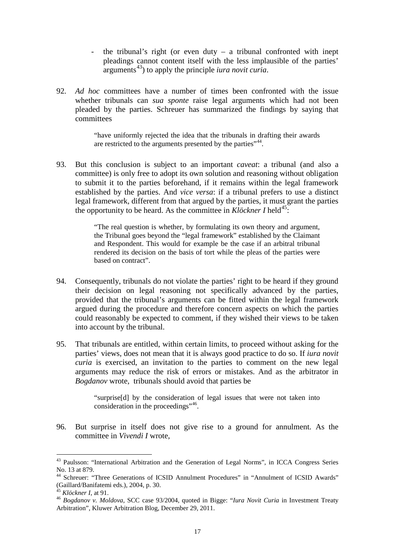- the tribunal's right (or even duty a tribunal confronted with inept pleadings cannot content itself with the less implausible of the parties' arguments [43](#page-22-0)) to apply the principle *iura novit curia*.
- 92. *Ad hoc* committees have a number of times been confronted with the issue whether tribunals can *sua sponte* raise legal arguments which had not been pleaded by the parties. Schreuer has summarized the findings by saying that committees

"have uniformly rejected the idea that the tribunals in drafting their awards are restricted to the arguments presented by the parties<sup>"[44](#page-22-1)</sup>.

93. But this conclusion is subject to an important *caveat*: a tribunal (and also a committee) is only free to adopt its own solution and reasoning without obligation to submit it to the parties beforehand, if it remains within the legal framework established by the parties. And *vice versa*: if a tribunal prefers to use a distinct legal framework, different from that argued by the parties, it must grant the parties the opportunity to be heard. As the committee in  $Kl\ddot{o}ckner I$  held<sup>45</sup>:

> "The real question is whether, by formulating its own theory and argument, the Tribunal goes beyond the "legal framework" established by the Claimant and Respondent. This would for example be the case if an arbitral tribunal rendered its decision on the basis of tort while the pleas of the parties were based on contract".

- <span id="page-22-4"></span>94. Consequently, tribunals do not violate the parties' right to be heard if they ground their decision on legal reasoning not specifically advanced by the parties, provided that the tribunal's arguments can be fitted within the legal framework argued during the procedure and therefore concern aspects on which the parties could reasonably be expected to comment, if they wished their views to be taken into account by the tribunal.
- 95. That tribunals are entitled, within certain limits, to proceed without asking for the parties' views, does not mean that it is always good practice to do so. If *iura novit curia* is exercised, an invitation to the parties to comment on the new legal arguments may reduce the risk of errors or mistakes. And as the arbitrator in *Bogdanov* wrote, tribunals should avoid that parties be

"surprise[d] by the consideration of legal issues that were not taken into consideration in the proceedings"<sup>[46](#page-22-3)</sup>.

96. But surprise in itself does not give rise to a ground for annulment. As the committee in *Vivendi I* wrote,

<span id="page-22-0"></span><sup>&</sup>lt;sup>43</sup> Paulsson: "International Arbitration and the Generation of Legal Norms", in ICCA Congress Series No. 13 at  $879$ .

<span id="page-22-1"></span><sup>&</sup>lt;sup>44</sup> Schreuer: "Three Generations of ICSID Annulment Procedures" in "Annulment of ICSID Awards" (Gaillard/Banifatemi eds.), 2004, p. 30.

<span id="page-22-3"></span><span id="page-22-2"></span><sup>&</sup>lt;sup>45</sup> *Klöckner I*, at 91. *At 91.* At 91. **At 80. 45** *Klöckner I***, at 91. 46** *Bogdanov v. Moldova*, SCC case 93/2004, quoted in Bigge: "*Iura Novit Curia* in Investment Treaty Arbitration", Kluwer Arbitration Blog, December 29, 2011.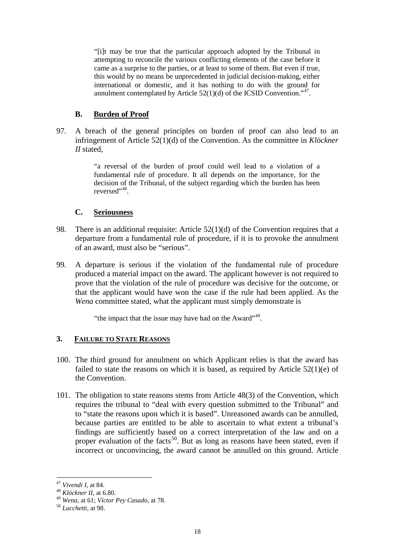"[i]t may be true that the particular approach adopted by the Tribunal in attempting to reconcile the various conflicting elements of the case before it came as a surprise to the parties, or at least to some of them. But even if true, this would by no means be unprecedented in judicial decision-making, either international or domestic, and it has nothing to do with the ground for annulment contemplated by Article  $52(1)(d)$  of the ICSID Convention."<sup>47</sup>.

# **B. Burden of Proof**

97. A breach of the general principles on burden of proof can also lead to an infringement of Article 52(1)(d) of the Convention. As the committee in *Klöckner II* stated,

> "a reversal of the burden of proof could well lead to a violation of a fundamental rule of procedure. It all depends on the importance, for the decision of the Tribunal, of the subject regarding which the burden has been reversed", <sup>[48](#page-23-2)</sup>.

# **C. Seriousness**

- 98. There is an additional requisite: Article  $52(1)(d)$  of the Convention requires that a departure from a fundamental rule of procedure, if it is to provoke the annulment of an award, must also be "serious".
- 99. A departure is serious if the violation of the fundamental rule of procedure produced a material impact on the award. The applicant however is not required to prove that the violation of the rule of procedure was decisive for the outcome, or that the applicant would have won the case if the rule had been applied. As the *Wena* committee stated, what the applicant must simply demonstrate is

"the impact that the issue may have had on the Award"<sup>[49](#page-23-3)</sup>.

# <span id="page-23-0"></span>**3. FAILURE TO STATE REASONS**

- 100. The third ground for annulment on which Applicant relies is that the award has failed to state the reasons on which it is based, as required by Article  $52(1)(e)$  of the Convention.
- 101. The obligation to state reasons stems from Article 48(3) of the Convention, which requires the tribunal to "deal with every question submitted to the Tribunal" and to "state the reasons upon which it is based". Unreasoned awards can be annulled, because parties are entitled to be able to ascertain to what extent a tribunal's findings are sufficiently based on a correct interpretation of the law and on a proper evaluation of the facts<sup>50</sup>. But as long as reasons have been stated, even if incorrect or unconvincing, the award cannot be annulled on this ground. Article

<span id="page-23-1"></span><sup>47</sup> *Vivendi I,* at 84. <sup>48</sup> *Klöckner II*, at 6.80.

<span id="page-23-4"></span><span id="page-23-3"></span><span id="page-23-2"></span><sup>49</sup> *Wena*, at 61; *Víctor Pey Casado,* at 78. <sup>50</sup> *Lucchetti,* at 98.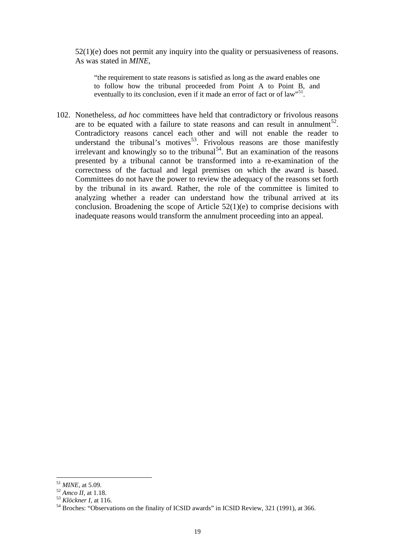52(1)(e) does not permit any inquiry into the quality or persuasiveness of reasons. As was stated in *MINE*,

"the requirement to state reasons is satisfied as long as the award enables one to follow how the tribunal proceeded from Point A to Point B, and eventually to its conclusion, even if it made an error of fact or of law"<sup>[51](#page-24-0)</sup>.

<span id="page-24-4"></span>102. Nonetheless, *ad hoc* committees have held that contradictory or frivolous reasons are to be equated with a failure to state reasons and can result in annulment<sup>[52](#page-24-1)</sup>. Contradictory reasons cancel each other and will not enable the reader to understand the tribunal's motives $53$ . Frivolous reasons are those manifestly irrelevant and knowingly so to the tribunal<sup>54</sup>. But an examination of the reasons presented by a tribunal cannot be transformed into a re-examination of the correctness of the factual and legal premises on which the award is based. Committees do not have the power to review the adequacy of the reasons set forth by the tribunal in its award. Rather, the role of the committee is limited to analyzing whether a reader can understand how the tribunal arrived at its conclusion. Broadening the scope of Article  $52(1)(e)$  to comprise decisions with inadequate reasons would transform the annulment proceeding into an appeal.

<span id="page-24-1"></span>

<span id="page-24-3"></span><span id="page-24-2"></span>

<span id="page-24-0"></span><sup>&</sup>lt;sup>51</sup> *MINE*, at 5.09.<br><sup>52</sup> *Amco II*, at 1.18.<br><sup>53</sup> *Klöckner I*, at 116.<br><sup>54</sup> Broches: "Observations on the finality of ICSID awards" in ICSID Review, 321 (1991), at 366.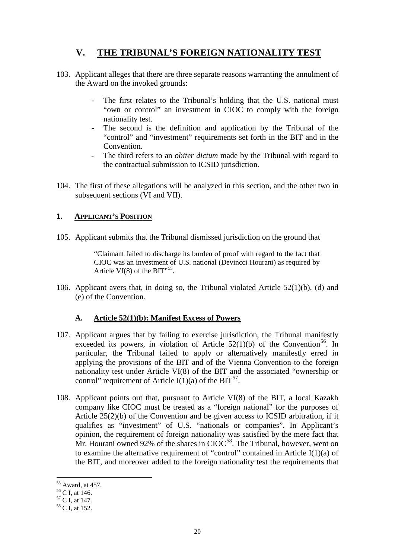# <span id="page-25-0"></span>**V. THE TRIBUNAL'S FOREIGN NATIONALITY TEST**

- 103. Applicant alleges that there are three separate reasons warranting the annulment of the Award on the invoked grounds:
	- The first relates to the Tribunal's holding that the U.S. national must "own or control" an investment in CIOC to comply with the foreign nationality test.
	- The second is the definition and application by the Tribunal of the "control" and "investment" requirements set forth in the BIT and in the Convention.
	- The third refers to an *obiter dictum* made by the Tribunal with regard to the contractual submission to ICSID jurisdiction.
- 104. The first of these allegations will be analyzed in this section, and the other two in subsequent sections (VI and VII).

# <span id="page-25-1"></span>**1. APPLICANT'S POSITION**

105. Applicant submits that the Tribunal dismissed jurisdiction on the ground that

"Claimant failed to discharge its burden of proof with regard to the fact that CIOC was an investment of U.S. national (Devincci Hourani) as required by Article VI(8) of the BIT"<sup>[55](#page-25-2)</sup>.

106. Applicant avers that, in doing so, the Tribunal violated Article  $52(1)(b)$ , (d) and (e) of the Convention.

# **A. Article 52(1)(b): Manifest Excess of Powers**

- 107. Applicant argues that by failing to exercise jurisdiction, the Tribunal manifestly exceeded its powers, in violation of Article  $52(1)(b)$  of the Convention<sup>56</sup>. In particular, the Tribunal failed to apply or alternatively manifestly erred in applying the provisions of the BIT and of the Vienna Convention to the foreign nationality test under Article VI(8) of the BIT and the associated "ownership or control" requirement of Article I(1)(a) of the BIT<sup>57</sup>.
- 108. Applicant points out that, pursuant to Article VI(8) of the BIT, a local Kazakh company like CIOC must be treated as a "foreign national" for the purposes of Article 25(2)(b) of the Convention and be given access to ICSID arbitration, if it qualifies as "investment" of U.S. "nationals or companies". In Applicant's opinion, the requirement of foreign nationality was satisfied by the mere fact that Mr. Hourani owned 92% of the shares in CIOC<sup>58</sup>. The Tribunal, however, went on to examine the alternative requirement of "control" contained in Article I(1)(a) of the BIT, and moreover added to the foreign nationality test the requirements that

<span id="page-25-2"></span><sup>&</sup>lt;sup>55</sup> Award, at 457.<br><sup>56</sup> C I, at 146.<br><sup>57</sup> C I, at 147.<br><sup>58</sup> C I, at 152.

<span id="page-25-3"></span>

<span id="page-25-4"></span>

<span id="page-25-5"></span>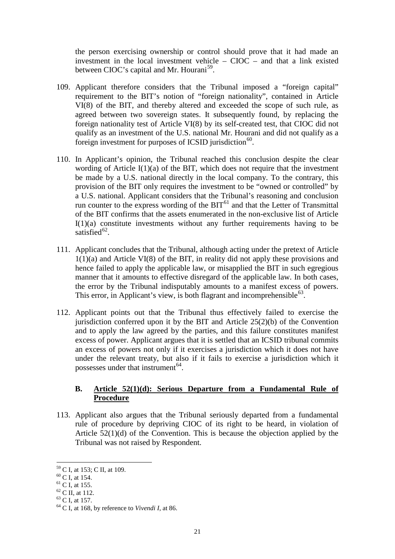the person exercising ownership or control should prove that it had made an investment in the local investment vehicle – CIOC – and that a link existed between CIOC's capital and Mr. Hourani<sup>59</sup>.

- 109. Applicant therefore considers that the Tribunal imposed a "foreign capital" requirement to the BIT's notion of "foreign nationality", contained in Article VI(8) of the BIT, and thereby altered and exceeded the scope of such rule, as agreed between two sovereign states. It subsequently found, by replacing the foreign nationality test of Article VI(8) by its self-created test, that CIOC did not qualify as an investment of the U.S. national Mr. Hourani and did not qualify as a foreign investment for purposes of ICSID jurisdiction $^{60}$  $^{60}$  $^{60}$ .
- 110. In Applicant's opinion, the Tribunal reached this conclusion despite the clear wording of Article  $I(1)(a)$  of the BIT, which does not require that the investment be made by a U.S. national directly in the local company. To the contrary, this provision of the BIT only requires the investment to be "owned or controlled" by a U.S. national. Applicant considers that the Tribunal's reasoning and conclusion run counter to the express wording of the  $BIT<sup>61</sup>$  $BIT<sup>61</sup>$  $BIT<sup>61</sup>$  and that the Letter of Transmittal of the BIT confirms that the assets enumerated in the non-exclusive list of Article  $I(1)(a)$  constitute investments without any further requirements having to be satisfied $^{62}$  $^{62}$  $^{62}$ .
- 111. Applicant concludes that the Tribunal, although acting under the pretext of Article 1(1)(a) and Article VI(8) of the BIT, in reality did not apply these provisions and hence failed to apply the applicable law, or misapplied the BIT in such egregious manner that it amounts to effective disregard of the applicable law. In both cases, the error by the Tribunal indisputably amounts to a manifest excess of powers. This error, in Applicant's view, is both flagrant and incomprehensible<sup>63</sup>.
- 112. Applicant points out that the Tribunal thus effectively failed to exercise the jurisdiction conferred upon it by the BIT and Article  $25(2)(b)$  of the Convention and to apply the law agreed by the parties, and this failure constitutes manifest excess of power. Applicant argues that it is settled that an ICSID tribunal commits an excess of powers not only if it exercises a jurisdiction which it does not have under the relevant treaty, but also if it fails to exercise a jurisdiction which it possesses under that instrument<sup>64</sup>.

# **B. Article 52(1)(d): Serious Departure from a Fundamental Rule of Procedure**

113. Applicant also argues that the Tribunal seriously departed from a fundamental rule of procedure by depriving CIOC of its right to be heard, in violation of Article 52(1)(d) of the Convention. This is because the objection applied by the Tribunal was not raised by Respondent.

<span id="page-26-1"></span>

<span id="page-26-2"></span>

<span id="page-26-3"></span>

<span id="page-26-5"></span><span id="page-26-4"></span>

<span id="page-26-0"></span><sup>&</sup>lt;sup>59</sup> C I, at 153; C II, at 109.<br>
<sup>60</sup> C I, at 154.<br>
<sup>61</sup> C I, at 155.<br>
<sup>62</sup> C II, at 112.<br>
<sup>63</sup> C I, at 157.<br>
<sup>64</sup> C I, at 168, by reference to *Vivendi I*, at 86.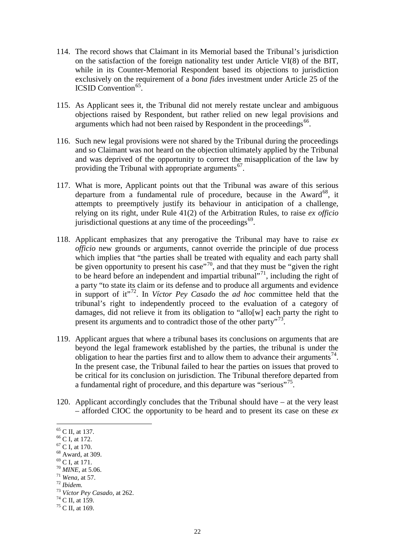- 114. The record shows that Claimant in its Memorial based the Tribunal's jurisdiction on the satisfaction of the foreign nationality test under Article VI(8) of the BIT, while in its Counter-Memorial Respondent based its objections to jurisdiction exclusively on the requirement of a *bona fides* investment under Article 25 of the ICSID Convention<sup>[65](#page-27-0)</sup>.
- 115. As Applicant sees it, the Tribunal did not merely restate unclear and ambiguous objections raised by Respondent, but rather relied on new legal provisions and arguments which had not been raised by Respondent in the proceedings<sup>66</sup>.
- 116. Such new legal provisions were not shared by the Tribunal during the proceedings and so Claimant was not heard on the objection ultimately applied by the Tribunal and was deprived of the opportunity to correct the misapplication of the law by providing the Tribunal with appropriate arguments<sup>67</sup>.
- 117. What is more, Applicant points out that the Tribunal was aware of this serious departure from a fundamental rule of procedure, because in the Award<sup>[68](#page-27-3)</sup>, it attempts to preemptively justify its behaviour in anticipation of a challenge, relying on its right, under Rule 41(2) of the Arbitration Rules, to raise *ex officio* jurisdictional questions at any time of the proceedings $^{69}$ .
- 118. Applicant emphasizes that any prerogative the Tribunal may have to raise *ex officio* new grounds or arguments, cannot override the principle of due process which implies that "the parties shall be treated with equality and each party shall be given opportunity to present his case"<sup>[70](#page-27-5)</sup>, and that they must be "given the right" to be heard before an independent and impartial tribunal<sup>"[71](#page-27-6)</sup>, including the right of a party "to state its claim or its defense and to produce all arguments and evidence in support of it"[72.](#page-27-7) In *Víctor Pey Casado* the *ad hoc* committee held that the tribunal's right to independently proceed to the evaluation of a category of damages, did not relieve it from its obligation to "allo[w] each party the right to present its arguments and to contradict those of the other party<sup>"[73](#page-27-8)</sup>
- 119. Applicant argues that where a tribunal bases its conclusions on arguments that are beyond the legal framework established by the parties, the tribunal is under the obligation to hear the parties first and to allow them to advance their arguments<sup>[74](#page-27-9)</sup>. In the present case, the Tribunal failed to hear the parties on issues that proved to be critical for its conclusion on jurisdiction. The Tribunal therefore departed from a fundamental right of procedure, and this departure was "serious"<sup>[75](#page-27-10)</sup>.
- 120. Applicant accordingly concludes that the Tribunal should have at the very least – afforded CIOC the opportunity to be heard and to present its case on these *ex*

<span id="page-27-0"></span>

<span id="page-27-1"></span>

<span id="page-27-2"></span>

<span id="page-27-3"></span>

<span id="page-27-4"></span>

<span id="page-27-6"></span><span id="page-27-5"></span>

<span id="page-27-7"></span>

<sup>65</sup> C II, at 137.<br><sup>66</sup> C I, at 172.<br><sup>67</sup> C I, at 170.<br><sup>69</sup> C I, at 171.<br><sup>70</sup> *MINE*, at 5.06.<br><sup>71</sup> *Wena*, at 57.<br><sup>72</sup> *Ibidem.*<br><sup>73</sup> *Víctor Pey Casado*, at 262.<br><sup>74</sup> C II, at 159.<br><sup>75</sup> C II, at 169.

<span id="page-27-9"></span><span id="page-27-8"></span>

<span id="page-27-10"></span>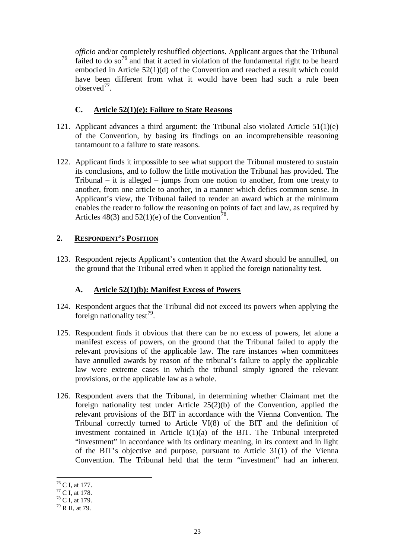*officio* and/or completely reshuffled objections. Applicant argues that the Tribunal failed to do so<sup>[76](#page-28-1)</sup> and that it acted in violation of the fundamental right to be heard embodied in Article 52(1)(d) of the Convention and reached a result which could have been different from what it would have been had such a rule been observed $^{77}$  $^{77}$  $^{77}$ .

# **C. Article 52(1)(e): Failure to State Reasons**

- 121. Applicant advances a third argument: the Tribunal also violated Article 51(1)(e) of the Convention, by basing its findings on an incomprehensible reasoning tantamount to a failure to state reasons.
- 122. Applicant finds it impossible to see what support the Tribunal mustered to sustain its conclusions, and to follow the little motivation the Tribunal has provided. The Tribunal – it is alleged – jumps from one notion to another, from one treaty to another, from one article to another, in a manner which defies common sense. In Applicant's view, the Tribunal failed to render an award which at the minimum enables the reader to follow the reasoning on points of fact and law, as required by Articles 48(3) and  $52(1)(e)$  of the Convention<sup>[78](#page-28-3)</sup>.

# <span id="page-28-0"></span>**2. RESPONDENT'S POSITION**

123. Respondent rejects Applicant's contention that the Award should be annulled, on the ground that the Tribunal erred when it applied the foreign nationality test.

# **A. Article 52(1)(b): Manifest Excess of Powers**

- 124. Respondent argues that the Tribunal did not exceed its powers when applying the foreign nationality test<sup>79</sup>.
- 125. Respondent finds it obvious that there can be no excess of powers, let alone a manifest excess of powers, on the ground that the Tribunal failed to apply the relevant provisions of the applicable law. The rare instances when committees have annulled awards by reason of the tribunal's failure to apply the applicable law were extreme cases in which the tribunal simply ignored the relevant provisions, or the applicable law as a whole.
- 126. Respondent avers that the Tribunal, in determining whether Claimant met the foreign nationality test under Article 25(2)(b) of the Convention, applied the relevant provisions of the BIT in accordance with the Vienna Convention. The Tribunal correctly turned to Article VI(8) of the BIT and the definition of investment contained in Article  $I(1)(a)$  of the BIT. The Tribunal interpreted "investment" in accordance with its ordinary meaning, in its context and in light of the BIT's objective and purpose, pursuant to Article 31(1) of the Vienna Convention. The Tribunal held that the term "investment" had an inherent

<span id="page-28-3"></span><span id="page-28-2"></span>

<span id="page-28-1"></span> $^{76}$  C I, at 177.<br>  $^{77}$  C I, at 178.<br>  $^{78}$  C I, at 179.<br>  $^{79}$  R II, at 79.

<span id="page-28-4"></span>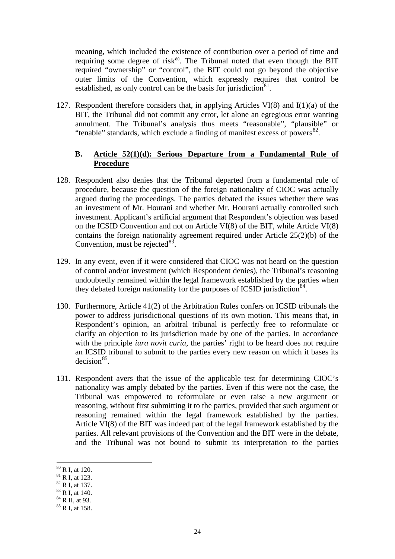meaning, which included the existence of contribution over a period of time and requiring some degree of risk $80$ . The Tribunal noted that even though the BIT required "ownership" *or* "control", the BIT could not go beyond the objective outer limits of the Convention, which expressly requires that control be established, as only control can be the basis for jurisdiction $81$ .

127. Respondent therefore considers that, in applying Articles VI(8) and I(1)(a) of the BIT, the Tribunal did not commit any error, let alone an egregious error wanting annulment. The Tribunal's analysis thus meets "reasonable", "plausible" or "tenable" standards, which exclude a finding of manifest excess of powers<sup>82</sup>.

# **B. Article 52(1)(d): Serious Departure from a Fundamental Rule of Procedure**

- 128. Respondent also denies that the Tribunal departed from a fundamental rule of procedure, because the question of the foreign nationality of CIOC was actually argued during the proceedings. The parties debated the issues whether there was an investment of Mr. Hourani and whether Mr. Hourani actually controlled such investment. Applicant's artificial argument that Respondent's objection was based on the ICSID Convention and not on Article VI(8) of the BIT, while Article VI(8) contains the foreign nationality agreement required under Article 25(2)(b) of the Convention, must be rejected  $83$ .
- 129. In any event, even if it were considered that CIOC was not heard on the question of control and/or investment (which Respondent denies), the Tribunal's reasoning undoubtedly remained within the legal framework established by the parties when they debated foreign nationality for the purposes of ICSID jurisdiction<sup>[84](#page-29-4)</sup>.
- 130. Furthermore, Article 41(2) of the Arbitration Rules confers on ICSID tribunals the power to address jurisdictional questions of its own motion. This means that, in Respondent's opinion, an arbitral tribunal is perfectly free to reformulate or clarify an objection to its jurisdiction made by one of the parties. In accordance with the principle *iura novit curia*, the parties' right to be heard does not require an ICSID tribunal to submit to the parties every new reason on which it bases its  $decision<sup>85</sup>$  $decision<sup>85</sup>$  $decision<sup>85</sup>$ .
- 131. Respondent avers that the issue of the applicable test for determining CIOC's nationality was amply debated by the parties. Even if this were not the case, the Tribunal was empowered to reformulate or even raise a new argument or reasoning, without first submitting it to the parties, provided that such argument or reasoning remained within the legal framework established by the parties. Article VI(8) of the BIT was indeed part of the legal framework established by the parties. All relevant provisions of the Convention and the BIT were in the debate, and the Tribunal was not bound to submit its interpretation to the parties

<span id="page-29-0"></span><sup>&</sup>lt;sup>80</sup> R I, at 120.<br><sup>81</sup> R I, at 123.<br><sup>82</sup> R I, at 137.<br><sup>83</sup> R I, at 140.<br><sup>84</sup> R II, at 93.<br><sup>85</sup> R I, at 158.

<span id="page-29-1"></span>

<span id="page-29-2"></span>

<span id="page-29-3"></span>

<span id="page-29-4"></span>

<span id="page-29-5"></span>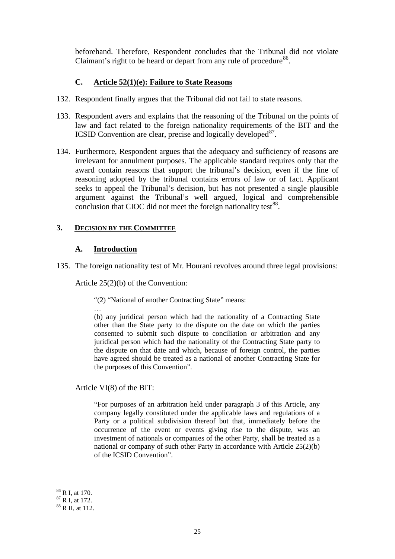beforehand. Therefore, Respondent concludes that the Tribunal did not violate Claimant's right to be heard or depart from any rule of procedure  $86$ .

# **C. Article 52(1)(e): Failure to State Reasons**

- 132. Respondent finally argues that the Tribunal did not fail to state reasons.
- 133. Respondent avers and explains that the reasoning of the Tribunal on the points of law and fact related to the foreign nationality requirements of the BIT and the ICSID Convention are clear, precise and logically developed $87$ .
- 134. Furthermore, Respondent argues that the adequacy and sufficiency of reasons are irrelevant for annulment purposes. The applicable standard requires only that the award contain reasons that support the tribunal's decision, even if the line of reasoning adopted by the tribunal contains errors of law or of fact. Applicant seeks to appeal the Tribunal's decision, but has not presented a single plausible argument against the Tribunal's well argued, logical and comprehensible conclusion that CIOC did not meet the foreign nationality test $^{88}$  $^{88}$  $^{88}$ .

### <span id="page-30-0"></span>**3. DECISION BY THE COMMITTEE**

### **A. Introduction**

135. The foreign nationality test of Mr. Hourani revolves around three legal provisions:

Article 25(2)(b) of the Convention:

"(2) "National of another Contracting State" means:

…

(b) any juridical person which had the nationality of a Contracting State other than the State party to the dispute on the date on which the parties consented to submit such dispute to conciliation or arbitration and any juridical person which had the nationality of the Contracting State party to the dispute on that date and which, because of foreign control, the parties have agreed should be treated as a national of another Contracting State for the purposes of this Convention".

Article VI(8) of the BIT:

"For purposes of an arbitration held under paragraph 3 of this Article, any company legally constituted under the applicable laws and regulations of a Party or a political subdivision thereof but that, immediately before the occurrence of the event or events giving rise to the dispute, was an investment of nationals or companies of the other Party, shall be treated as a national or company of such other Party in accordance with Article 25(2)(b) of the ICSID Convention".

<span id="page-30-2"></span><span id="page-30-1"></span> $<sup>86</sup>$  R I, at 170.<br> $<sup>87</sup>$  R I, at 172.<br> $<sup>88</sup>$  R II, at 112.</sup></sup></sup>

<span id="page-30-3"></span>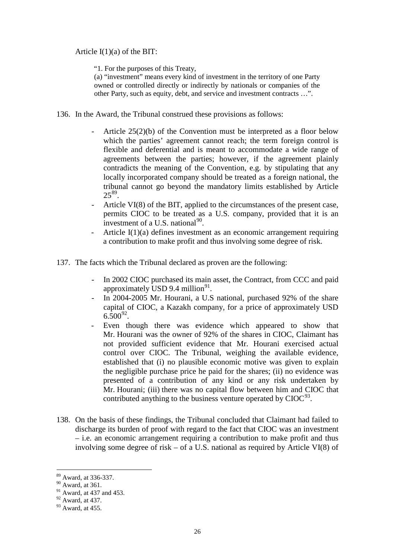#### Article  $I(1)(a)$  of the BIT:

"1. For the purposes of this Treaty,

(a) "investment" means every kind of investment in the territory of one Party owned or controlled directly or indirectly by nationals or companies of the other Party, such as equity, debt, and service and investment contracts …".

- 136. In the Award, the Tribunal construed these provisions as follows:
	- Article  $25(2)(b)$  of the Convention must be interpreted as a floor below which the parties' agreement cannot reach; the term foreign control is flexible and deferential and is meant to accommodate a wide range of agreements between the parties; however, if the agreement plainly contradicts the meaning of the Convention, e.g. by stipulating that any locally incorporated company should be treated as a foreign national, the tribunal cannot go beyond the mandatory limits established by Article  $25^{89}$ .
	- Article VI(8) of the BIT, applied to the circumstances of the present case, permits CIOC to be treated as a U.S. company, provided that it is an investment of a U.S. national $^{90}$ .
	- Article I(1)(a) defines investment as an economic arrangement requiring a contribution to make profit and thus involving some degree of risk.
- 137. The facts which the Tribunal declared as proven are the following:
	- In 2002 CIOC purchased its main asset, the Contract, from CCC and paid approximately USD 9.4 million $91$ .
	- In 2004-2005 Mr. Hourani, a U.S national, purchased 92% of the share capital of CIOC, a Kazakh company, for a price of approximately USD  $6.500^{92}$ .
	- Even though there was evidence which appeared to show that Mr. Hourani was the owner of 92% of the shares in CIOC, Claimant has not provided sufficient evidence that Mr. Hourani exercised actual control over CIOC. The Tribunal, weighing the available evidence, established that (i) no plausible economic motive was given to explain the negligible purchase price he paid for the shares; (ii) no evidence was presented of a contribution of any kind or any risk undertaken by Mr. Hourani; (iii) there was no capital flow between him and CIOC that contributed anything to the business venture operated by  $CIOC^{93}$ .
- 138. On the basis of these findings, the Tribunal concluded that Claimant had failed to discharge its burden of proof with regard to the fact that CIOC was an investment – i.e. an economic arrangement requiring a contribution to make profit and thus involving some degree of risk – of a U.S. national as required by Article VI(8) of

<span id="page-31-0"></span> <sup>89</sup> Award, at 336-337.

<sup>90</sup> Award, at 361.

<span id="page-31-2"></span><span id="page-31-1"></span> $91$  Award, at 437 and 453.

<span id="page-31-3"></span> $92$  Award, at 437.

<span id="page-31-4"></span> $93$  Award, at 455.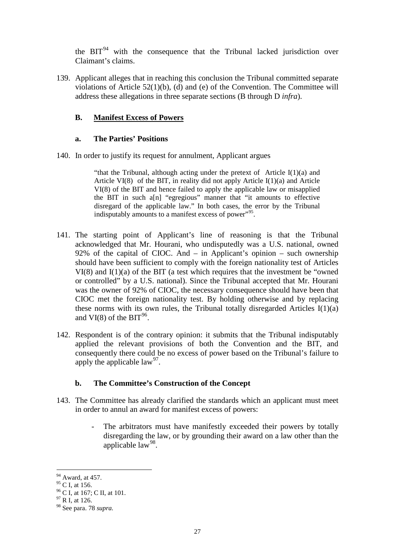the  $BIT<sup>94</sup>$  $BIT<sup>94</sup>$  $BIT<sup>94</sup>$  with the consequence that the Tribunal lacked jurisdiction over Claimant's claims.

139. Applicant alleges that in reaching this conclusion the Tribunal committed separate violations of Article  $52(1)(b)$ , (d) and (e) of the Convention. The Committee will address these allegations in three separate sections (B through D *infra*).

# **B. Manifest Excess of Powers**

#### **a. The Parties' Positions**

140. In order to justify its request for annulment, Applicant argues

"that the Tribunal, although acting under the pretext of Article  $I(1)(a)$  and Article VI(8) of the BIT, in reality did not apply Article I(1)(a) and Article VI(8) of the BIT and hence failed to apply the applicable law or misapplied the BIT in such a[n] "egregious" manner that "it amounts to effective disregard of the applicable law." In both cases, the error by the Tribunal indisputably amounts to a manifest excess of power"<sup>95</sup>.

- 141. The starting point of Applicant's line of reasoning is that the Tribunal acknowledged that Mr. Hourani, who undisputedly was a U.S. national, owned 92% of the capital of CIOC. And – in Applicant's opinion – such ownership should have been sufficient to comply with the foreign nationality test of Articles  $VI(8)$  and  $I(1)(a)$  of the BIT (a test which requires that the investment be "owned" or controlled" by a U.S. national). Since the Tribunal accepted that Mr. Hourani was the owner of 92% of CIOC, the necessary consequence should have been that CIOC met the foreign nationality test. By holding otherwise and by replacing these norms with its own rules, the Tribunal totally disregarded Articles  $I(1)(a)$ and VI(8) of the BIT<sup>[96](#page-32-2)</sup>.
- 142. Respondent is of the contrary opinion: it submits that the Tribunal indisputably applied the relevant provisions of both the Convention and the BIT, and consequently there could be no excess of power based on the Tribunal's failure to apply the applicable  $law<sup>97</sup>$  $law<sup>97</sup>$  $law<sup>97</sup>$ .

### **b. The Committee's Construction of the Concept**

- 143. The Committee has already clarified the standards which an applicant must meet in order to annul an award for manifest excess of powers:
	- The arbitrators must have manifestly exceeded their powers by totally disregarding the law, or by grounding their award on a law other than the applicable law $98$ .

<span id="page-32-0"></span> $^{94}$  Award, at 457.<br><sup>95</sup> C I, at 156.

<span id="page-32-2"></span><span id="page-32-1"></span> $\frac{96}{97}$  C I, at 167; C II, at 101.<br><sup>97</sup> R I, at 126.

<span id="page-32-3"></span>

<span id="page-32-4"></span><sup>98</sup> See para. [78](#page-19-6) *supra.*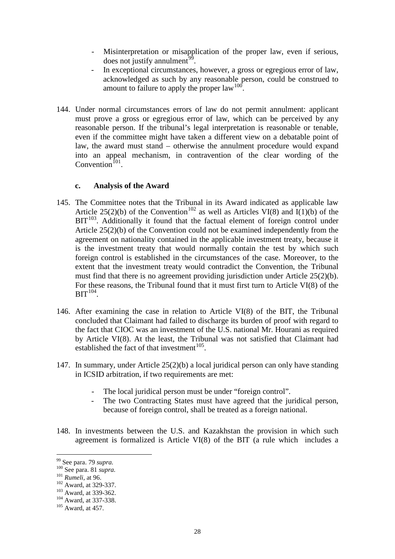- Misinterpretation or misapplication of the proper law, even if serious, does not justify annulment<sup>[99](#page-33-0)</sup>.
- In exceptional circumstances, however, a gross or egregious error of law, acknowledged as such by any reasonable person, could be construed to amount to failure to apply the proper law<sup>[100](#page-33-1)</sup>.
- 144. Under normal circumstances errors of law do not permit annulment: applicant must prove a gross or egregious error of law, which can be perceived by any reasonable person. If the tribunal's legal interpretation is reasonable or tenable, even if the committee might have taken a different view on a debatable point of law, the award must stand – otherwise the annulment procedure would expand into an appeal mechanism, in contravention of the clear wording of the Convention<sup> $101$ </sup>.

# **c. Analysis of the Award**

- 145. The Committee notes that the Tribunal in its Award indicated as applicable law Article 25(2)(b) of the Convention<sup>[102](#page-33-3)</sup> as well as Articles VI(8) and  $\overline{I(1)}$ (b) of the  $BIT<sup>103</sup>$  $BIT<sup>103</sup>$  $BIT<sup>103</sup>$ . Additionally it found that the factual element of foreign control under Article 25(2)(b) of the Convention could not be examined independently from the agreement on nationality contained in the applicable investment treaty, because it is the investment treaty that would normally contain the test by which such foreign control is established in the circumstances of the case. Moreover, to the extent that the investment treaty would contradict the Convention, the Tribunal must find that there is no agreement providing jurisdiction under Article 25(2)(b). For these reasons, the Tribunal found that it must first turn to Article VI(8) of the  $BIT<sup>104</sup>$  $BIT<sup>104</sup>$  $BIT<sup>104</sup>$ .
- 146. After examining the case in relation to Article VI(8) of the BIT, the Tribunal concluded that Claimant had failed to discharge its burden of proof with regard to the fact that CIOC was an investment of the U.S. national Mr. Hourani as required by Article VI(8). At the least, the Tribunal was not satisfied that Claimant had established the fact of that investment $105$ .
- 147. In summary, under Article 25(2)(b) a local juridical person can only have standing in ICSID arbitration, if two requirements are met:
	- The local juridical person must be under "foreign control".
	- The two Contracting States must have agreed that the juridical person, because of foreign control, shall be treated as a foreign national.
- 148. In investments between the U.S. and Kazakhstan the provision in which such agreement is formalized is Article VI(8) of the BIT (a rule which includes a

<span id="page-33-1"></span><span id="page-33-0"></span><sup>&</sup>lt;sup>99</sup> See para. [79](#page-20-7) *supra.* 100 See para[. 81](#page-20-8) *supra.* 101 *Rumeli,* at 96. 102 Award, at 329-337. 103 Award, at 337-338. 105 Award, at 457.

<span id="page-33-2"></span>

<span id="page-33-3"></span>

<span id="page-33-4"></span>

<span id="page-33-5"></span>

<span id="page-33-6"></span>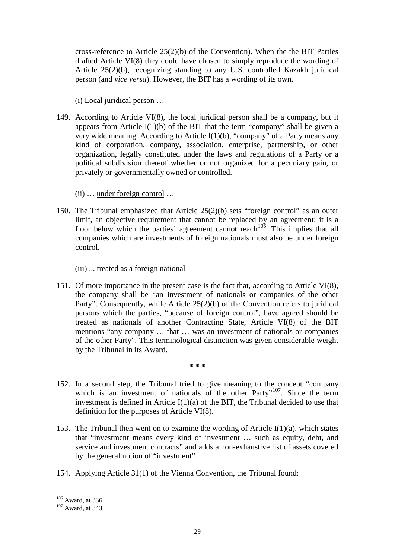cross-reference to Article 25(2)(b) of the Convention). When the the BIT Parties drafted Article VI(8) they could have chosen to simply reproduce the wording of Article 25(2)(b), recognizing standing to any U.S. controlled Kazakh juridical person (and *vice versa*). However, the BIT has a wording of its own.

- (i) Local juridical person …
- 149. According to Article VI(8), the local juridical person shall be a company, but it appears from Article  $I(1)(b)$  of the BIT that the term "company" shall be given a very wide meaning. According to Article I(1)(b), "company" of a Party means any kind of corporation, company, association, enterprise, partnership, or other organization, legally constituted under the laws and regulations of a Party or a political subdivision thereof whether or not organized for a pecuniary gain, or privately or governmentally owned or controlled.
	- (ii) … under foreign control …
- 150. The Tribunal emphasized that Article 25(2)(b) sets "foreign control" as an outer limit, an objective requirement that cannot be replaced by an agreement: it is a floor below which the parties' agreement cannot reach<sup> $106$ </sup>. This implies that all companies which are investments of foreign nationals must also be under foreign control.
	- (iii) ... treated as a foreign national
- 151. Of more importance in the present case is the fact that, according to Article VI(8), the company shall be "an investment of nationals or companies of the other Party". Consequently, while Article 25(2)(b) of the Convention refers to juridical persons which the parties, "because of foreign control", have agreed should be treated as nationals of another Contracting State, Article VI(8) of the BIT mentions "any company … that … was an investment of nationals or companies of the other Party". This terminological distinction was given considerable weight by the Tribunal in its Award.
	- **\* \* \***
- 152. In a second step, the Tribunal tried to give meaning to the concept "company which is an investment of nationals of the other Party<sup>"[107](#page-34-1)</sup>. Since the term investment is defined in Article I(1)(a) of the BIT, the Tribunal decided to use that definition for the purposes of Article VI(8).
- 153. The Tribunal then went on to examine the wording of Article I(1)(a), which states that "investment means every kind of investment … such as equity, debt, and service and investment contracts" and adds a non-exhaustive list of assets covered by the general notion of "investment".
- 154. Applying Article 31(1) of the Vienna Convention, the Tribunal found:

<span id="page-34-1"></span><span id="page-34-0"></span> $\frac{106}{107}$  Award, at 336.<br> $\frac{107}{107}$  Award, at 343.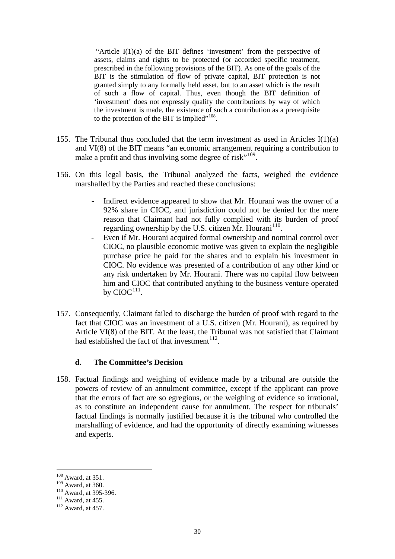"Article  $I(1)(a)$  of the BIT defines 'investment' from the perspective of assets, claims and rights to be protected (or accorded specific treatment, prescribed in the following provisions of the BIT). As one of the goals of the BIT is the stimulation of flow of private capital, BIT protection is not granted simply to any formally held asset, but to an asset which is the result of such a flow of capital. Thus, even though the BIT definition of 'investment' does not expressly qualify the contributions by way of which the investment is made, the existence of such a contribution as a prerequisite to the protection of the BIT is implied"<sup>108</sup>.

- 155. The Tribunal thus concluded that the term investment as used in Articles  $I(1)(a)$ and VI(8) of the BIT means "an economic arrangement requiring a contribution to make a profit and thus involving some degree of risk"<sup>[109](#page-35-1)</sup>.
- 156. On this legal basis, the Tribunal analyzed the facts, weighed the evidence marshalled by the Parties and reached these conclusions:
	- Indirect evidence appeared to show that Mr. Hourani was the owner of a 92% share in CIOC, and jurisdiction could not be denied for the mere reason that Claimant had not fully complied with its burden of proof regarding ownership by the U.S. citizen Mr. Hourani<sup>110</sup>.
	- Even if Mr. Hourani acquired formal ownership and nominal control over CIOC, no plausible economic motive was given to explain the negligible purchase price he paid for the shares and to explain his investment in CIOC. No evidence was presented of a contribution of any other kind or any risk undertaken by Mr. Hourani. There was no capital flow between him and CIOC that contributed anything to the business venture operated by  $CIOC<sup>111</sup>$  $CIOC<sup>111</sup>$  $CIOC<sup>111</sup>$ .
- 157. Consequently, Claimant failed to discharge the burden of proof with regard to the fact that CIOC was an investment of a U.S. citizen (Mr. Hourani), as required by Article VI(8) of the BIT. At the least, the Tribunal was not satisfied that Claimant had established the fact of that investment $112$ .

### **d. The Committee's Decision**

158. Factual findings and weighing of evidence made by a tribunal are outside the powers of review of an annulment committee, except if the applicant can prove that the errors of fact are so egregious, or the weighing of evidence so irrational, as to constitute an independent cause for annulment. The respect for tribunals' factual findings is normally justified because it is the tribunal who controlled the marshalling of evidence, and had the opportunity of directly examining witnesses and experts.

<span id="page-35-0"></span> $\frac{108}{109}$  Award, at 351.<br>
<sup>109</sup> Award, at 360.

<span id="page-35-2"></span><span id="page-35-1"></span><sup>110</sup> Award, at 395-396.<br>
<sup>111</sup> Award, at 455.<br>
<sup>112</sup> Award, at 457.

<span id="page-35-3"></span>

<span id="page-35-4"></span>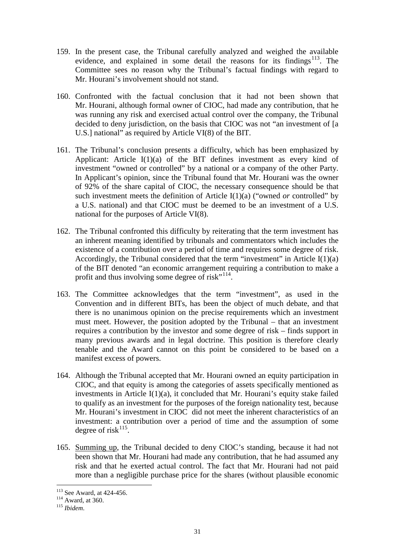- 159. In the present case, the Tribunal carefully analyzed and weighed the available evidence, and explained in some detail the reasons for its findings<sup>113</sup>. The Committee sees no reason why the Tribunal's factual findings with regard to Mr. Hourani's involvement should not stand.
- 160. Confronted with the factual conclusion that it had not been shown that Mr. Hourani, although formal owner of CIOC, had made any contribution, that he was running any risk and exercised actual control over the company, the Tribunal decided to deny jurisdiction, on the basis that CIOC was not "an investment of [a U.S.] national" as required by Article VI(8) of the BIT.
- 161. The Tribunal's conclusion presents a difficulty, which has been emphasized by Applicant: Article  $I(1)(a)$  of the BIT defines investment as every kind of investment "owned or controlled" by a national or a company of the other Party. In Applicant's opinion, since the Tribunal found that Mr. Hourani was the owner of 92% of the share capital of CIOC, the necessary consequence should be that such investment meets the definition of Article I(1)(a) ("owned *or* controlled" by a U.S. national) and that CIOC must be deemed to be an investment of a U.S. national for the purposes of Article VI(8).
- 162. The Tribunal confronted this difficulty by reiterating that the term investment has an inherent meaning identified by tribunals and commentators which includes the existence of a contribution over a period of time and requires some degree of risk. Accordingly, the Tribunal considered that the term "investment" in Article  $I(1)(a)$ of the BIT denoted "an economic arrangement requiring a contribution to make a profit and thus involving some degree of risk"<sup>114</sup>.
- 163. The Committee acknowledges that the term "investment", as used in the Convention and in different BITs, has been the object of much debate, and that there is no unanimous opinion on the precise requirements which an investment must meet. However, the position adopted by the Tribunal – that an investment requires a contribution by the investor and some degree of risk – finds support in many previous awards and in legal doctrine. This position is therefore clearly tenable and the Award cannot on this point be considered to be based on a manifest excess of powers.
- 164. Although the Tribunal accepted that Mr. Hourani owned an equity participation in CIOC, and that equity is among the categories of assets specifically mentioned as investments in Article  $I(1)(a)$ , it concluded that Mr. Hourani's equity stake failed to qualify as an investment for the purposes of the foreign nationality test, because Mr. Hourani's investment in CIOC did not meet the inherent characteristics of an investment: a contribution over a period of time and the assumption of some degree of risk $^{115}$  $^{115}$  $^{115}$ .
- 165. Summing up, the Tribunal decided to deny CIOC's standing, because it had not been shown that Mr. Hourani had made any contribution, that he had assumed any risk and that he exerted actual control. The fact that Mr. Hourani had not paid more than a negligible purchase price for the shares (without plausible economic

<span id="page-36-1"></span><span id="page-36-0"></span><sup>113</sup> See Award, at 424-456. <sup>114</sup> Award, at 360. <sup>115</sup> *Ibidem*.

<span id="page-36-2"></span>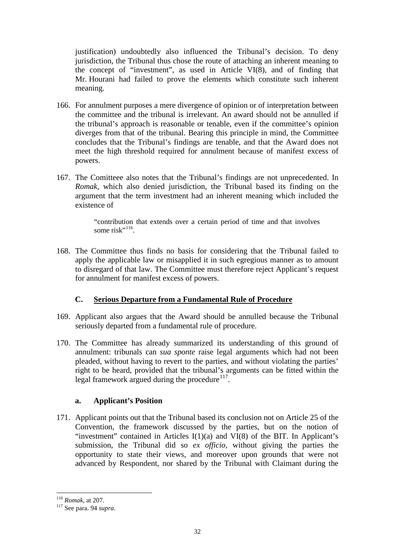justification) undoubtedly also influenced the Tribunal's decision. To deny jurisdiction, the Tribunal thus chose the route of attaching an inherent meaning to the concept of "investment", as used in Article VI(8), and of finding that Mr. Hourani had failed to prove the elements which constitute such inherent meaning.

- 166. For annulment purposes a mere divergence of opinion or of interpretation between the committee and the tribunal is irrelevant. An award should not be annulled if the tribunal's approach is reasonable or tenable, even if the committee's opinion diverges from that of the tribunal. Bearing this principle in mind, the Committee concludes that the Tribunal's findings are tenable, and that the Award does not meet the high threshold required for annulment because of manifest excess of powers.
- 167. The Comitteee also notes that the Tribunal's findings are not unprecedented. In *Romak*, which also denied jurisdiction, the Tribunal based its finding on the argument that the term investment had an inherent meaning which included the existence of

"contribution that extends over a certain period of time and that involves some risk $"$ <sup>[116](#page-37-0)</sup>

168. The Committee thus finds no basis for considering that the Tribunal failed to apply the applicable law or misapplied it in such egregious manner as to amount to disregard of that law. The Committee must therefore reject Applicant's request for annulment for manifest excess of powers.

# **C. Serious Departure from a Fundamental Rule of Procedure**

- 169. Applicant also argues that the Award should be annulled because the Tribunal seriously departed from a fundamental rule of procedure.
- 170. The Committee has already summarized its understanding of this ground of annulment: tribunals can *sua sponte* raise legal arguments which had not been pleaded, without having to revert to the parties, and without violating the parties' right to be heard, provided that the tribunal's arguments can be fitted within the legal framework argued during the procedure $117$ .

# **a. Applicant's Position**

171. Applicant points out that the Tribunal based its conclusion not on Article 25 of the Convention, the framework discussed by the parties, but on the notion of "investment" contained in Articles  $I(1)(a)$  and  $VI(8)$  of the BIT. In Applicant's submission, the Tribunal did so *ex officio*, without giving the parties the opportunity to state their views, and moreover upon grounds that were not advanced by Respondent, nor shared by the Tribunal with Claimant during the

<span id="page-37-1"></span><span id="page-37-0"></span><sup>116</sup> *Romak*, at 207. <sup>117</sup> See para[. 94](#page-22-4) *supra*.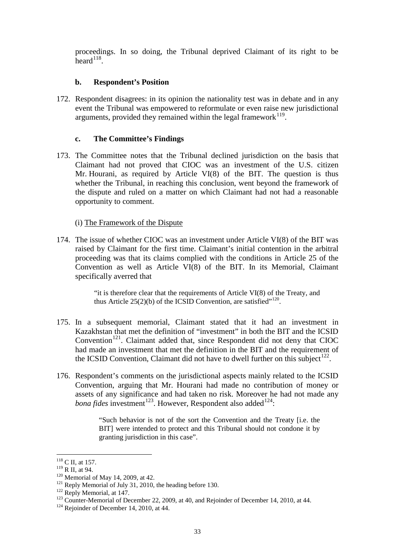proceedings. In so doing, the Tribunal deprived Claimant of its right to be  $\frac{1}{18}$ 

### **b. Respondent's Position**

172. Respondent disagrees: in its opinion the nationality test was in debate and in any event the Tribunal was empowered to reformulate or even raise new jurisdictional arguments, provided they remained within the legal framework $119$ .

### **c. The Committee's Findings**

<span id="page-38-7"></span>173. The Committee notes that the Tribunal declined jurisdiction on the basis that Claimant had not proved that CIOC was an investment of the U.S. citizen Mr. Hourani, as required by Article VI(8) of the BIT. The question is thus whether the Tribunal, in reaching this conclusion, went beyond the framework of the dispute and ruled on a matter on which Claimant had not had a reasonable opportunity to comment.

# (i) The Framework of the Dispute

174. The issue of whether CIOC was an investment under Article VI(8) of the BIT was raised by Claimant for the first time. Claimant's initial contention in the arbitral proceeding was that its claims complied with the conditions in Article 25 of the Convention as well as Article VI(8) of the BIT. In its Memorial, Claimant specifically averred that

> "it is therefore clear that the requirements of Article VI(8) of the Treaty, and thus Article  $25(2)(b)$  of the ICSID Convention, are satisfied"<sup>120</sup>.

- 175. In a subsequent memorial, Claimant stated that it had an investment in Kazakhstan that met the definition of "investment" in both the BIT and the ICSID Convention<sup>[121](#page-38-3)</sup>. Claimant added that, since Respondent did not deny that CIOC had made an investment that met the definition in the BIT and the requirement of the ICSID Convention, Claimant did not have to dwell further on this subject  $^{122}$  $^{122}$  $^{122}$ .
- 176. Respondent's comments on the jurisdictional aspects mainly related to the ICSID Convention, arguing that Mr. Hourani had made no contribution of money or assets of any significance and had taken no risk. Moreover he had not made any *bona fides* investment<sup>[123](#page-38-5)</sup>. However, Respondent also added<sup>[124](#page-38-6)</sup>:

"Such behavior is not of the sort the Convention and the Treaty [i.e. the BIT] were intended to protect and this Tribunal should not condone it by granting jurisdiction in this case".

<span id="page-38-0"></span> $^{118}_{119}$  C II, at 157.<br><sup>119</sup> R II, at 94.

<span id="page-38-3"></span>

<span id="page-38-4"></span>

<span id="page-38-2"></span><span id="page-38-1"></span><sup>&</sup>lt;sup>120</sup> Memorial of May 14, 2009, at 42.<br><sup>121</sup> Reply Memorial of July 31, 2010, the heading before 130.<br><sup>122</sup> Reply Memorial, at 147.<br><sup>122</sup> Counter-Memorial of December 22, 2009, at 40, and Rejoinder of December 14, 2010, a

<span id="page-38-6"></span><span id="page-38-5"></span>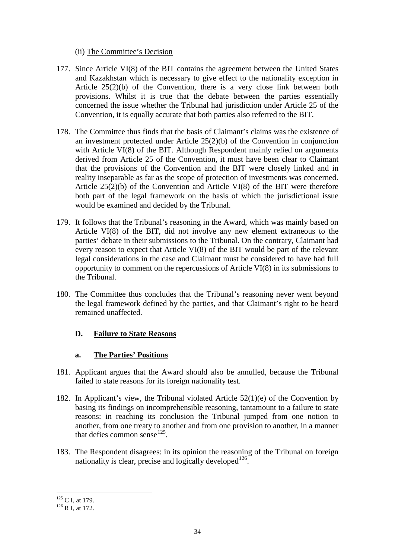### (ii) The Committee's Decision

- 177. Since Article VI(8) of the BIT contains the agreement between the United States and Kazakhstan which is necessary to give effect to the nationality exception in Article 25(2)(b) of the Convention, there is a very close link between both provisions. Whilst it is true that the debate between the parties essentially concerned the issue whether the Tribunal had jurisdiction under Article 25 of the Convention, it is equally accurate that both parties also referred to the BIT.
- 178. The Committee thus finds that the basis of Claimant's claims was the existence of an investment protected under Article 25(2)(b) of the Convention in conjunction with Article VI(8) of the BIT. Although Respondent mainly relied on arguments derived from Article 25 of the Convention, it must have been clear to Claimant that the provisions of the Convention and the BIT were closely linked and in reality inseparable as far as the scope of protection of investments was concerned. Article 25(2)(b) of the Convention and Article VI(8) of the BIT were therefore both part of the legal framework on the basis of which the jurisdictional issue would be examined and decided by the Tribunal.
- 179. It follows that the Tribunal's reasoning in the Award, which was mainly based on Article VI(8) of the BIT, did not involve any new element extraneous to the parties' debate in their submissions to the Tribunal. On the contrary, Claimant had every reason to expect that Article VI(8) of the BIT would be part of the relevant legal considerations in the case and Claimant must be considered to have had full opportunity to comment on the repercussions of Article VI(8) in its submissions to the Tribunal.
- <span id="page-39-2"></span>180. The Committee thus concludes that the Tribunal's reasoning never went beyond the legal framework defined by the parties, and that Claimant's right to be heard remained unaffected.

# **D. Failure to State Reasons**

# **a. The Parties' Positions**

- 181. Applicant argues that the Award should also be annulled, because the Tribunal failed to state reasons for its foreign nationality test.
- 182. In Applicant's view, the Tribunal violated Article 52(1)(e) of the Convention by basing its findings on incomprehensible reasoning, tantamount to a failure to state reasons: in reaching its conclusion the Tribunal jumped from one notion to another, from one treaty to another and from one provision to another, in a manner that defies common sense  $^{125}$ .
- 183. The Respondent disagrees: in its opinion the reasoning of the Tribunal on foreign nationality is clear, precise and logically developed<sup>[126](#page-39-1)</sup>.

<span id="page-39-1"></span><span id="page-39-0"></span> $^{125}$  C I, at 179.<br><sup>126</sup> R I, at 172.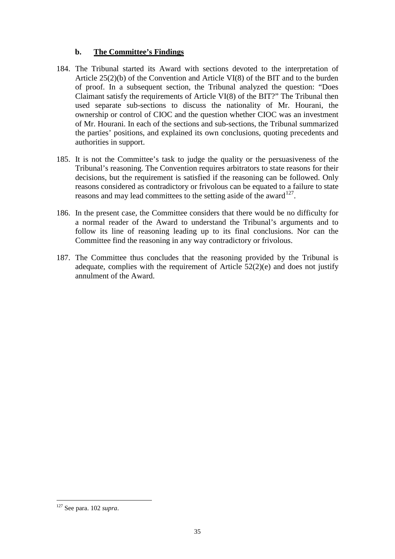# **b. The Committee's Findings**

- 184. The Tribunal started its Award with sections devoted to the interpretation of Article 25(2)(b) of the Convention and Article VI(8) of the BIT and to the burden of proof. In a subsequent section, the Tribunal analyzed the question: "Does Claimant satisfy the requirements of Article VI(8) of the BIT?" The Tribunal then used separate sub-sections to discuss the nationality of Mr. Hourani, the ownership or control of CIOC and the question whether CIOC was an investment of Mr. Hourani. In each of the sections and sub-sections, the Tribunal summarized the parties' positions, and explained its own conclusions, quoting precedents and authorities in support.
- 185. It is not the Committee's task to judge the quality or the persuasiveness of the Tribunal's reasoning. The Convention requires arbitrators to state reasons for their decisions, but the requirement is satisfied if the reasoning can be followed. Only reasons considered as contradictory or frivolous can be equated to a failure to state reasons and may lead committees to the setting aside of the award<sup>[127](#page-40-0)</sup>.
- 186. In the present case, the Committee considers that there would be no difficulty for a normal reader of the Award to understand the Tribunal's arguments and to follow its line of reasoning leading up to its final conclusions. Nor can the Committee find the reasoning in any way contradictory or frivolous.
- 187. The Committee thus concludes that the reasoning provided by the Tribunal is adequate, complies with the requirement of Article 52(2)(e) and does not justify annulment of the Award.

<span id="page-40-0"></span> <sup>127</sup> See para[. 102](#page-24-4) *supra*.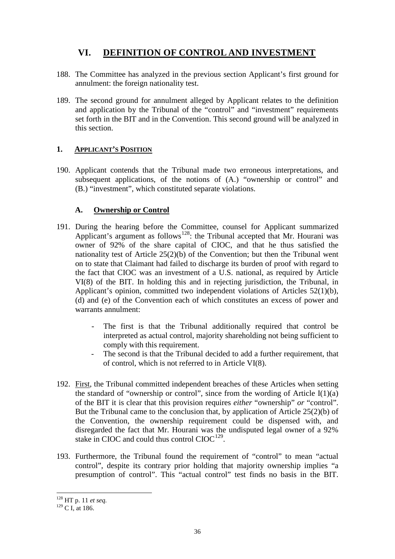# <span id="page-41-0"></span>**VI. DEFINITION OF CONTROL AND INVESTMENT**

- 188. The Committee has analyzed in the previous section Applicant's first ground for annulment: the foreign nationality test.
- 189. The second ground for annulment alleged by Applicant relates to the definition and application by the Tribunal of the "control" and "investment" requirements set forth in the BIT and in the Convention. This second ground will be analyzed in this section.

# <span id="page-41-1"></span>**1. APPLICANT'S POSITION**

190. Applicant contends that the Tribunal made two erroneous interpretations, and subsequent applications, of the notions of (A.) "ownership or control" and (B.) "investment", which constituted separate violations.

# **A. Ownership or Control**

- 191. During the hearing before the Committee, counsel for Applicant summarized Applicant's argument as follows<sup>[128](#page-41-2)</sup>: the Tribunal accepted that Mr. Hourani was owner of 92% of the share capital of CIOC, and that he thus satisfied the nationality test of Article 25(2)(b) of the Convention; but then the Tribunal went on to state that Claimant had failed to discharge its burden of proof with regard to the fact that CIOC was an investment of a U.S. national, as required by Article VI(8) of the BIT. In holding this and in rejecting jurisdiction, the Tribunal, in Applicant's opinion, committed two independent violations of Articles 52(1)(b), (d) and (e) of the Convention each of which constitutes an excess of power and warrants annulment:
	- The first is that the Tribunal additionally required that control be interpreted as actual control, majority shareholding not being sufficient to comply with this requirement.
	- The second is that the Tribunal decided to add a further requirement, that of control, which is not referred to in Article VI(8).
- 192. First, the Tribunal committed independent breaches of these Articles when setting the standard of "ownership or control", since from the wording of Article  $I(1)(a)$ of the BIT it is clear that this provision requires *either* "ownership" *or* "control". But the Tribunal came to the conclusion that, by application of Article 25(2)(b) of the Convention, the ownership requirement could be dispensed with, and disregarded the fact that Mr. Hourani was the undisputed legal owner of a 92% stake in CIOC and could thus control  $CIOC^{129}$  $CIOC^{129}$  $CIOC^{129}$ .
- 193. Furthermore, the Tribunal found the requirement of "control" to mean "actual control", despite its contrary prior holding that majority ownership implies "a presumption of control". This "actual control" test finds no basis in the BIT.

 <sup>128</sup> HT p. 11 *et seq.*

<span id="page-41-3"></span><span id="page-41-2"></span> $129$  C I, at 186.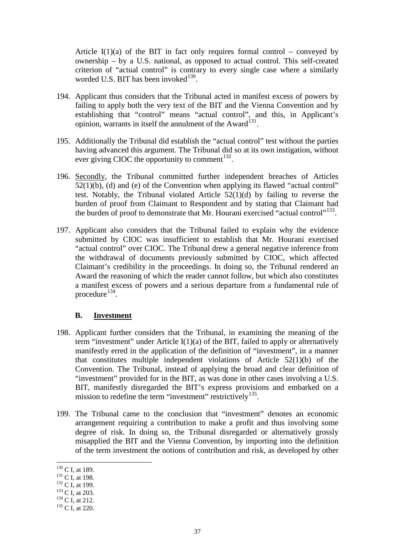Article  $I(1)(a)$  of the BIT in fact only requires formal control – conveyed by ownership – by a U.S. national, as opposed to actual control. This self-created criterion of "actual control" is contrary to every single case where a similarly worded U.S. BIT has been invoked $^{130}$  $^{130}$  $^{130}$ .

- 194. Applicant thus considers that the Tribunal acted in manifest excess of powers by failing to apply both the very text of the BIT and the Vienna Convention and by establishing that "control" means "actual control", and this, in Applicant's opinion, warrants in itself the annulment of the  $Award^{131}$  $Award^{131}$  $Award^{131}$ .
- 195. Additionally the Tribunal did establish the "actual control" test without the parties having advanced this argument. The Tribunal did so at its own instigation, without ever giving CIOC the opportunity to comment<sup>132</sup>.
- 196. Secondly, the Tribunal committed further independent breaches of Articles 52(1)(b), (d) and (e) of the Convention when applying its flawed "actual control" test. Notably, the Tribunal violated Article 52(1)(d) by failing to reverse the burden of proof from Claimant to Respondent and by stating that Claimant had the burden of proof to demonstrate that Mr. Hourani exercised "actual control"<sup>133</sup>.
- 197. Applicant also considers that the Tribunal failed to explain why the evidence submitted by CIOC was insufficient to establish that Mr. Hourani exercised "actual control" over CIOC. The Tribunal drew a general negative inference from the withdrawal of documents previously submitted by CIOC, which affected Claimant's credibility in the proceedings. In doing so, the Tribunal rendered an Award the reasoning of which the reader cannot follow, but which also constitutes a manifest excess of powers and a serious departure from a fundamental rule of  $procedure<sup>134</sup>$  $procedure<sup>134</sup>$  $procedure<sup>134</sup>$ .

### **B. Investment**

- 198. Applicant further considers that the Tribunal, in examining the meaning of the term "investment" under Article I(1)(a) of the BIT, failed to apply or alternatively manifestly erred in the application of the definition of "investment", in a manner that constitutes multiple independent violations of Article 52(1)(b) of the Convention. The Tribunal, instead of applying the broad and clear definition of "investment" provided for in the BIT, as was done in other cases involving a U.S. BIT, manifestly disregarded the BIT's express provisions and embarked on a mission to redefine the term "investment" restrictively<sup>[135](#page-42-5)</sup>.
- 199. The Tribunal came to the conclusion that "investment" denotes an economic arrangement requiring a contribution to make a profit and thus involving some degree of risk. In doing so, the Tribunal disregarded or alternatively grossly misapplied the BIT and the Vienna Convention, by importing into the definition of the term investment the notions of contribution and risk, as developed by other

<span id="page-42-1"></span>

<span id="page-42-2"></span>

<span id="page-42-4"></span><span id="page-42-3"></span>

<span id="page-42-0"></span><sup>&</sup>lt;sup>130</sup> C I, at 189.<br><sup>131</sup> C I, at 198.<br><sup>132</sup> C I, at 199.<br><sup>133</sup> C I, at 212.<br><sup>135</sup> C I, at 220.

<span id="page-42-5"></span>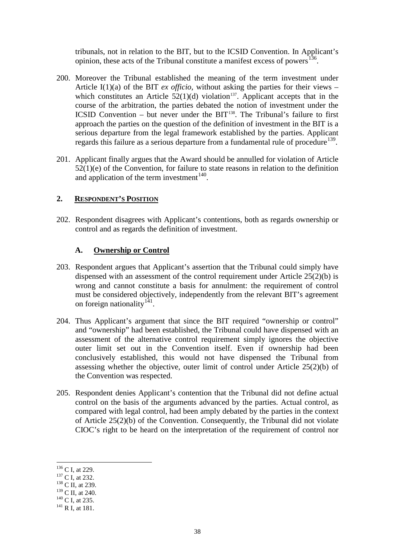tribunals, not in relation to the BIT, but to the ICSID Convention. In Applicant's opinion, these acts of the Tribunal constitute a manifest excess of powers<sup>[136](#page-43-1)</sup>.

- 200. Moreover the Tribunal established the meaning of the term investment under Article I(1)(a) of the BIT *ex officio*, without asking the parties for their views – which constitutes an Article  $52(1)(d)$  violation<sup>[137](#page-43-2)</sup>. Applicant accepts that in the course of the arbitration, the parties debated the notion of investment under the ICSID Convention – but never under the  $BIT^{138}$  $BIT^{138}$  $BIT^{138}$ . The Tribunal's failure to first approach the parties on the question of the definition of investment in the BIT is a serious departure from the legal framework established by the parties. Applicant regards this failure as a serious departure from a fundamental rule of procedure<sup>139</sup>.
- 201. Applicant finally argues that the Award should be annulled for violation of Article 52(1)(e) of the Convention, for failure to state reasons in relation to the definition and application of the term investment $140$ .

# <span id="page-43-0"></span>**2. RESPONDENT'S POSITION**

202. Respondent disagrees with Applicant's contentions, both as regards ownership or control and as regards the definition of investment.

# **A. Ownership or Control**

- 203. Respondent argues that Applicant's assertion that the Tribunal could simply have dispensed with an assessment of the control requirement under Article 25(2)(b) is wrong and cannot constitute a basis for annulment: the requirement of control must be considered objectively, independently from the relevant BIT's agreement on foreign nationality<sup>[141](#page-43-6)</sup>.
- 204. Thus Applicant's argument that since the BIT required "ownership or control" and "ownership" had been established, the Tribunal could have dispensed with an assessment of the alternative control requirement simply ignores the objective outer limit set out in the Convention itself. Even if ownership had been conclusively established, this would not have dispensed the Tribunal from assessing whether the objective, outer limit of control under Article 25(2)(b) of the Convention was respected.
- 205. Respondent denies Applicant's contention that the Tribunal did not define actual control on the basis of the arguments advanced by the parties. Actual control, as compared with legal control, had been amply debated by the parties in the context of Article 25(2)(b) of the Convention. Consequently, the Tribunal did not violate CIOC's right to be heard on the interpretation of the requirement of control nor

<span id="page-43-1"></span><sup>&</sup>lt;sup>136</sup> C I, at 229.<br><sup>137</sup> C I, at 232.<br><sup>138</sup> C II, at 239.

<span id="page-43-2"></span>

<span id="page-43-4"></span><span id="page-43-3"></span><sup>&</sup>lt;sup>139</sup> C II, at 240.<br><sup>140</sup> C I, at 235.<br><sup>141</sup> R I, at 181.

<span id="page-43-5"></span>

<span id="page-43-6"></span>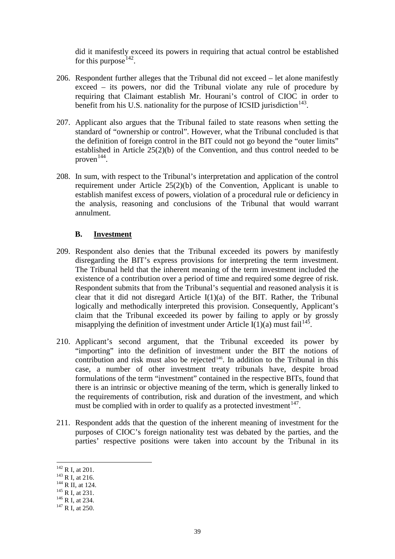did it manifestly exceed its powers in requiring that actual control be established for this purpose  $142$ .

- 206. Respondent further alleges that the Tribunal did not exceed let alone manifestly exceed – its powers, nor did the Tribunal violate any rule of procedure by requiring that Claimant establish Mr. Hourani's control of CIOC in order to benefit from his U.S. nationality for the purpose of ICSID jurisdiction<sup>[143](#page-44-1)</sup>.
- 207. Applicant also argues that the Tribunal failed to state reasons when setting the standard of "ownership or control". However, what the Tribunal concluded is that the definition of foreign control in the BIT could not go beyond the "outer limits" established in Article 25(2)(b) of the Convention, and thus control needed to be proven [144](#page-44-2).
- 208. In sum, with respect to the Tribunal's interpretation and application of the control requirement under Article 25(2)(b) of the Convention, Applicant is unable to establish manifest excess of powers, violation of a procedural rule or deficiency in the analysis, reasoning and conclusions of the Tribunal that would warrant annulment.

# **B. Investment**

- 209. Respondent also denies that the Tribunal exceeded its powers by manifestly disregarding the BIT's express provisions for interpreting the term investment. The Tribunal held that the inherent meaning of the term investment included the existence of a contribution over a period of time and required some degree of risk. Respondent submits that from the Tribunal's sequential and reasoned analysis it is clear that it did not disregard Article  $I(1)(a)$  of the BIT. Rather, the Tribunal logically and methodically interpreted this provision. Consequently, Applicant's claim that the Tribunal exceeded its power by failing to apply or by grossly misapplying the definition of investment under Article  $I(1)(a)$  must fail<sup>145</sup>
- 210. Applicant's second argument, that the Tribunal exceeded its power by "importing" into the definition of investment under the BIT the notions of contribution and risk must also be rejected<sup>146</sup>. In addition to the Tribunal in this case, a number of other investment treaty tribunals have, despite broad formulations of the term "investment" contained in the respective BITs, found that there is an intrinsic or objective meaning of the term, which is generally linked to the requirements of contribution, risk and duration of the investment, and which must be complied with in order to qualify as a protected investment  $147$ .
- 211. Respondent adds that the question of the inherent meaning of investment for the purposes of CIOC's foreign nationality test was debated by the parties, and the parties' respective positions were taken into account by the Tribunal in its

<span id="page-44-1"></span>

<span id="page-44-2"></span>

<span id="page-44-0"></span><sup>&</sup>lt;sup>142</sup> R I, at 201.<br><sup>143</sup> R I, at 216.<br><sup>144</sup> R II, at 124.<br><sup>146</sup> R I, at 231.<br><sup>146</sup> R I, at 234.

<span id="page-44-4"></span><span id="page-44-3"></span>

<span id="page-44-5"></span>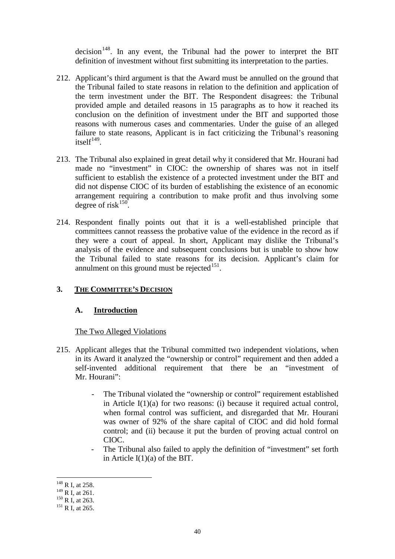decision<sup>[148](#page-45-1)</sup>. In any event, the Tribunal had the power to interpret the BIT definition of investment without first submitting its interpretation to the parties.

- 212. Applicant's third argument is that the Award must be annulled on the ground that the Tribunal failed to state reasons in relation to the definition and application of the term investment under the BIT. The Respondent disagrees: the Tribunal provided ample and detailed reasons in 15 paragraphs as to how it reached its conclusion on the definition of investment under the BIT and supported those reasons with numerous cases and commentaries. Under the guise of an alleged failure to state reasons, Applicant is in fact criticizing the Tribunal's reasoning itsel $f^{149}$  $f^{149}$  $f^{149}$ .
- 213. The Tribunal also explained in great detail why it considered that Mr. Hourani had made no "investment" in CIOC: the ownership of shares was not in itself sufficient to establish the existence of a protected investment under the BIT and did not dispense CIOC of its burden of establishing the existence of an economic arrangement requiring a contribution to make profit and thus involving some degree of risk $150$ .
- 214. Respondent finally points out that it is a well-established principle that committees cannot reassess the probative value of the evidence in the record as if they were a court of appeal. In short, Applicant may dislike the Tribunal's analysis of the evidence and subsequent conclusions but is unable to show how the Tribunal failed to state reasons for its decision. Applicant's claim for annulment on this ground must be rejected  $151$ .

# <span id="page-45-0"></span>**3. THE COMMITTEE'S DECISION**

# **A. Introduction**

# The Two Alleged Violations

- 215. Applicant alleges that the Tribunal committed two independent violations, when in its Award it analyzed the "ownership or control" requirement and then added a self-invented additional requirement that there be an "investment of Mr. Hourani":
	- The Tribunal violated the "ownership or control" requirement established in Article I(1)(a) for two reasons: (i) because it required actual control, when formal control was sufficient, and disregarded that Mr. Hourani was owner of 92% of the share capital of CIOC and did hold formal control; and (ii) because it put the burden of proving actual control on CIOC.
	- The Tribunal also failed to apply the definition of "investment" set forth in Article I(1)(a) of the BIT.

<span id="page-45-1"></span><sup>&</sup>lt;sup>148</sup> R I, at 258.<br><sup>149</sup> R I, at 261.

<span id="page-45-4"></span><span id="page-45-3"></span><span id="page-45-2"></span>

 $^{150}$  R I, at 263.<br><sup>151</sup> R I, at 265.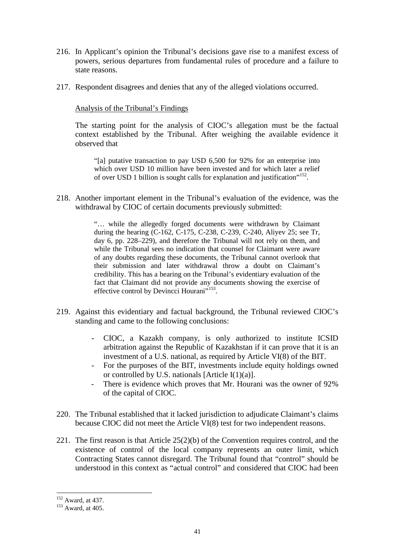- 216. In Applicant's opinion the Tribunal's decisions gave rise to a manifest excess of powers, serious departures from fundamental rules of procedure and a failure to state reasons.
- 217. Respondent disagrees and denies that any of the alleged violations occurred.

#### Analysis of the Tribunal's Findings

The starting point for the analysis of CIOC's allegation must be the factual context established by the Tribunal. After weighing the available evidence it observed that

"[a] putative transaction to pay USD 6,500 for 92% for an enterprise into which over USD 10 million have been invested and for which later a relief of over USD 1 billion is sought calls for explanation and justification"<sup>[152](#page-46-0)</sup>.

218. Another important element in the Tribunal's evaluation of the evidence, was the withdrawal by CIOC of certain documents previously submitted:

> "… while the allegedly forged documents were withdrawn by Claimant during the hearing (C-162, C-175, C-238, C-239, C-240, Aliyev 25; see Tr, day 6, pp. 228–229), and therefore the Tribunal will not rely on them, and while the Tribunal sees no indication that counsel for Claimant were aware of any doubts regarding these documents, the Tribunal cannot overlook that their submission and later withdrawal throw a doubt on Claimant's credibility. This has a bearing on the Tribunal's evidentiary evaluation of the fact that Claimant did not provide any documents showing the exercise of effective control by Devincci Hourani"<sup>[153](#page-46-1)</sup>.

- 219. Against this evidentiary and factual background, the Tribunal reviewed CIOC's standing and came to the following conclusions:
	- CIOC, a Kazakh company, is only authorized to institute ICSID arbitration against the Republic of Kazakhstan if it can prove that it is an investment of a U.S. national, as required by Article VI(8) of the BIT.
	- For the purposes of the BIT, investments include equity holdings owned or controlled by U.S. nationals [Article I(1)(a)].
	- There is evidence which proves that Mr. Hourani was the owner of 92% of the capital of CIOC.
- 220. The Tribunal established that it lacked jurisdiction to adjudicate Claimant's claims because CIOC did not meet the Article VI(8) test for two independent reasons.
- 221. The first reason is that Article 25(2)(b) of the Convention requires control, and the existence of control of the local company represents an outer limit, which Contracting States cannot disregard. The Tribunal found that "control" should be understood in this context as "actual control" and considered that CIOC had been

<span id="page-46-1"></span><span id="page-46-0"></span> $152$  Award, at 437.<br> $153$  Award, at 405.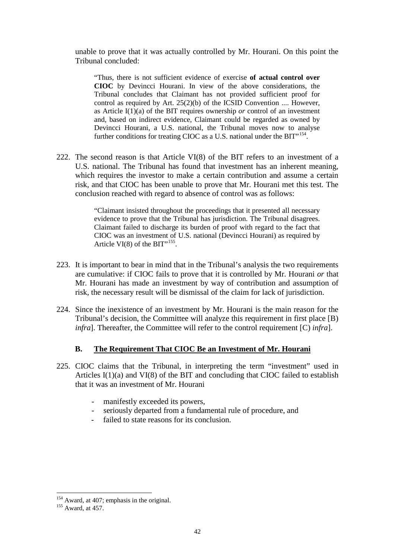unable to prove that it was actually controlled by Mr. Hourani. On this point the Tribunal concluded:

"Thus, there is not sufficient evidence of exercise **of actual control over CIOC** by Devincci Hourani. In view of the above considerations, the Tribunal concludes that Claimant has not provided sufficient proof for control as required by Art. 25(2)(b) of the ICSID Convention .... However, as Article  $I(1)(a)$  of the BIT requires ownership *or* control of an investment and, based on indirect evidence, Claimant could be regarded as owned by Devincci Hourani, a U.S. national, the Tribunal moves now to analyse further conditions for treating CIOC as a U.S. national under the BIT"<sup>154</sup>.

222. The second reason is that Article VI(8) of the BIT refers to an investment of a U.S. national. The Tribunal has found that investment has an inherent meaning, which requires the investor to make a certain contribution and assume a certain risk, and that CIOC has been unable to prove that Mr. Hourani met this test. The conclusion reached with regard to absence of control was as follows:

> "Claimant insisted throughout the proceedings that it presented all necessary evidence to prove that the Tribunal has jurisdiction. The Tribunal disagrees. Claimant failed to discharge its burden of proof with regard to the fact that CIOC was an investment of U.S. national (Devincci Hourani) as required by Article VI(8) of the BIT" $155$ .

- 223. It is important to bear in mind that in the Tribunal's analysis the two requirements are cumulative: if CIOC fails to prove that it is controlled by Mr. Hourani *or* that Mr. Hourani has made an investment by way of contribution and assumption of risk, the necessary result will be dismissal of the claim for lack of jurisdiction.
- 224. Since the inexistence of an investment by Mr. Hourani is the main reason for the Tribunal's decision, the Committee will analyze this requirement in first place [B) *infra*]. Thereafter, the Committee will refer to the control requirement [C) *infra*].

# **B. The Requirement That CIOC Be an Investment of Mr. Hourani**

- 225. CIOC claims that the Tribunal, in interpreting the term "investment" used in Articles I(1)(a) and VI(8) of the BIT and concluding that CIOC failed to establish that it was an investment of Mr. Hourani
	- manifestly exceeded its powers,
	- seriously departed from a fundamental rule of procedure, and
	- failed to state reasons for its conclusion.

<span id="page-47-1"></span><span id="page-47-0"></span><sup>&</sup>lt;sup>154</sup> Award, at 407; emphasis in the original.<br><sup>155</sup> Award, at 457.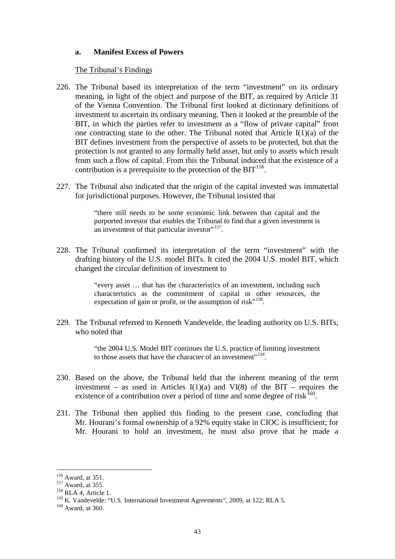#### **a. Manifest Excess of Powers**

#### The Tribunal's Findings

- 226. The Tribunal based its interpretation of the term "investment" on its ordinary meaning, in light of the object and purpose of the BIT, as required by Article 31 of the Vienna Convention. The Tribunal first looked at dictionary definitions of investment to ascertain its ordinary meaning. Then it looked at the preamble of the BIT, in which the parties refer to investment as a "flow of private capital" from one contracting state to the other. The Tribunal noted that Article  $I(1)(a)$  of the BIT defines investment from the perspective of assets to be protected, but that the protection is not granted to any formally held asset, but only to assets which result from such a flow of capital. From this the Tribunal induced that the existence of a contribution is a prerequisite to the protection of the  $BIT<sup>156</sup>$  $BIT<sup>156</sup>$  $BIT<sup>156</sup>$ .
- 227. The Tribunal also indicated that the origin of the capital invested was immaterial for jurisdictional purposes. However, the Tribunal insisted that

"there still needs to be some economic link between that capital and the purported investor that enables the Tribunal to find that a given investment is an investment of that particular investor"<sup>[157](#page-48-1)</sup>.

228. The Tribunal confirmed its interpretation of the term "investment" with the drafting history of the U.S. model BITs. It cited the 2004 U.S. model BIT, which changed the circular definition of investment to

> "every asset … that has the characteristics of an investment, including such characteristics as the commitment of capital or other resources, the expectation of gain or profit, or the assumption of risk"<sup>[158](#page-48-2)</sup>.

229. The Tribunal referred to Kenneth Vandevelde, the leading authority on U.S. BITs, who noted that

> "the 2004 U.S. Model BIT continues the U.S. practice of limiting investment to those assets that have the character of an investment"<sup>159</sup>.

- 230. Based on the above, the Tribunal held that the inherent meaning of the term investment – as used in Articles  $I(1)(a)$  and  $VI(8)$  of the BIT – requires the existence of a contribution over a period of time and some degree of risk<sup>[160](#page-48-4)</sup>.
- 231. The Tribunal then applied this finding to the present case, concluding that Mr. Hourani's formal ownership of a 92% equity stake in CIOC is insufficient; for Mr. Hourani to hold an investment, he must also prove that he made a

<span id="page-48-1"></span><span id="page-48-0"></span> $156 \text{ Award}$ , at 351.<br>  $157 \text{ Award}$ , at 355.<br>  $158 \text{ RLA } 4$ , Article 1.

<span id="page-48-4"></span><span id="page-48-3"></span><span id="page-48-2"></span><sup>&</sup>lt;sup>159</sup> K. Vandevelde: "U.S. International Investment Agreements", 2009, at 122; RLA 5. <sup>160</sup> Award, at 360.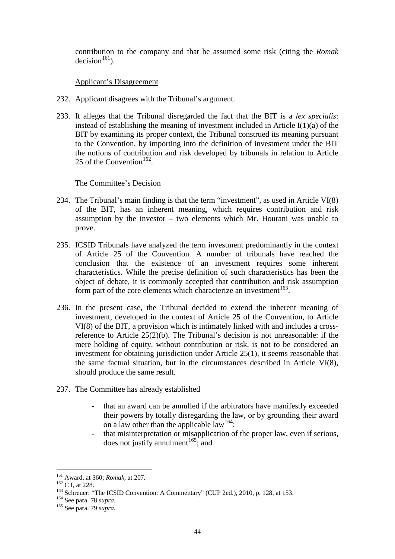contribution to the company and that he assumed some risk (citing the *Romak*   $decision<sup>161</sup>$  $decision<sup>161</sup>$  $decision<sup>161</sup>$ ).

### Applicant's Disagreement

- 232. Applicant disagrees with the Tribunal's argument.
- 233. It alleges that the Tribunal disregarded the fact that the BIT is a *lex specialis*: instead of establishing the meaning of investment included in Article I(1)(a) of the BIT by examining its proper context, the Tribunal construed its meaning pursuant to the Convention, by importing into the definition of investment under the BIT the notions of contribution and risk developed by tribunals in relation to Article 25 of the Convention<sup>162</sup>.

#### The Committee's Decision

- 234. The Tribunal's main finding is that the term "investment", as used in Article VI(8) of the BIT, has an inherent meaning, which requires contribution and risk assumption by the investor – two elements which Mr. Hourani was unable to prove.
- 235. ICSID Tribunals have analyzed the term investment predominantly in the context of Article 25 of the Convention. A number of tribunals have reached the conclusion that the existence of an investment requires some inherent characteristics. While the precise definition of such characteristics has been the object of debate, it is commonly accepted that contribution and risk assumption form part of the core elements which characterize an investment  $163$ .
- 236. In the present case, the Tribunal decided to extend the inherent meaning of investment, developed in the context of Article 25 of the Convention, to Article VI(8) of the BIT, a provision which is intimately linked with and includes a crossreference to Article  $25(2)(b)$ . The Tribunal's decision is not unreasonable: if the mere holding of equity, without contribution or risk, is not to be considered an investment for obtaining jurisdiction under Article 25(1), it seems reasonable that the same factual situation, but in the circumstances described in Article VI(8), should produce the same result.
- 237. The Committee has already established
	- that an award can be annulled if the arbitrators have manifestly exceeded their powers by totally disregarding the law, or by grounding their award on a law other than the applicable  $law^{164}$  $law^{164}$  $law^{164}$ ;
	- that misinterpretation or misapplication of the proper law, even if serious, does not justify annulment<sup>[165](#page-49-4)</sup>; and

<span id="page-49-1"></span><span id="page-49-0"></span><sup>&</sup>lt;sup>161</sup> Award, at 360; *Romak*, at 207.<br><sup>162</sup> C I, at 228.<br><sup>163</sup> Schreuer: "The ICSID Convention: A Commentary" (CUP 2ed.), 2010, p. 128, at 153.<br><sup>164</sup> See para[. 79](#page-20-7) *supra*.<br><sup>165</sup> See para. 79 *supra*.

<span id="page-49-3"></span><span id="page-49-2"></span>

<span id="page-49-4"></span>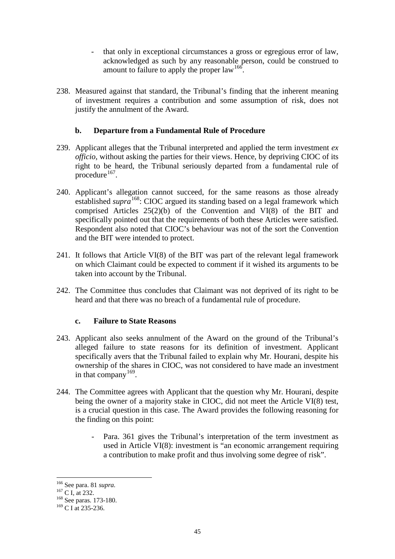- that only in exceptional circumstances a gross or egregious error of law, acknowledged as such by any reasonable person, could be construed to amount to failure to apply the proper law<sup>[166](#page-50-0)</sup>.
- 238. Measured against that standard, the Tribunal's finding that the inherent meaning of investment requires a contribution and some assumption of risk, does not justify the annulment of the Award.

# **b. Departure from a Fundamental Rule of Procedure**

- 239. Applicant alleges that the Tribunal interpreted and applied the term investment *ex officio*, without asking the parties for their views. Hence, by depriving CIOC of its right to be heard, the Tribunal seriously departed from a fundamental rule of procedure $167$ .
- 240. Applicant's allegation cannot succeed, for the same reasons as those already established *supra*<sup>[168](#page-50-2)</sup>: CIOC argued its standing based on a legal framework which comprised Articles 25(2)(b) of the Convention and VI(8) of the BIT and specifically pointed out that the requirements of both these Articles were satisfied. Respondent also noted that CIOC's behaviour was not of the sort the Convention and the BIT were intended to protect.
- 241. It follows that Article VI(8) of the BIT was part of the relevant legal framework on which Claimant could be expected to comment if it wished its arguments to be taken into account by the Tribunal.
- <span id="page-50-4"></span>242. The Committee thus concludes that Claimant was not deprived of its right to be heard and that there was no breach of a fundamental rule of procedure.

# **c. Failure to State Reasons**

- 243. Applicant also seeks annulment of the Award on the ground of the Tribunal's alleged failure to state reasons for its definition of investment. Applicant specifically avers that the Tribunal failed to explain why Mr. Hourani, despite his ownership of the shares in CIOC, was not considered to have made an investment in that company<sup>169</sup>.
- 244. The Committee agrees with Applicant that the question why Mr. Hourani, despite being the owner of a majority stake in CIOC, did not meet the Article VI(8) test, is a crucial question in this case. The Award provides the following reasoning for the finding on this point:
	- Para. 361 gives the Tribunal's interpretation of the term investment as used in Article VI(8): investment is "an economic arrangement requiring a contribution to make profit and thus involving some degree of risk".

<span id="page-50-2"></span>

<span id="page-50-1"></span><span id="page-50-0"></span><sup>&</sup>lt;sup>166</sup> See para[. 81](#page-20-8) *supra.*<br><sup>167</sup> C I, at 232.<br><sup>168</sup> See paras. [173](#page-38-7)[-180.](#page-39-2)<br><sup>169</sup> C I at 235-236.

<span id="page-50-3"></span>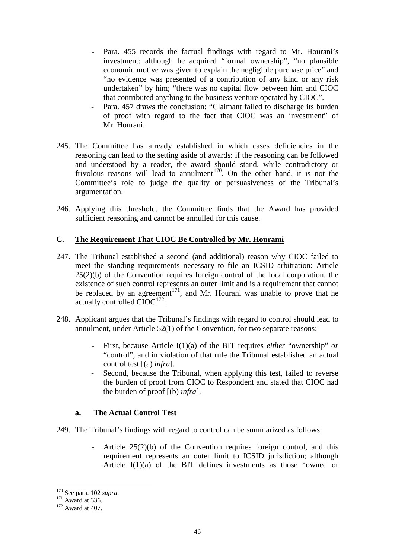- Para. 455 records the factual findings with regard to Mr. Hourani's investment: although he acquired "formal ownership", "no plausible economic motive was given to explain the negligible purchase price" and "no evidence was presented of a contribution of any kind or any risk undertaken" by him; "there was no capital flow between him and CIOC that contributed anything to the business venture operated by CIOC".
- Para. 457 draws the conclusion: "Claimant failed to discharge its burden of proof with regard to the fact that CIOC was an investment" of Mr. Hourani.
- 245. The Committee has already established in which cases deficiencies in the reasoning can lead to the setting aside of awards: if the reasoning can be followed and understood by a reader, the award should stand, while contradictory or frivolous reasons will lead to annulment<sup>[170](#page-51-0)</sup>. On the other hand, it is not the Committee's role to judge the quality or persuasiveness of the Tribunal's argumentation.
- <span id="page-51-3"></span>246. Applying this threshold, the Committee finds that the Award has provided sufficient reasoning and cannot be annulled for this cause.

# **C. The Requirement That CIOC Be Controlled by Mr. Hourami**

- 247. The Tribunal established a second (and additional) reason why CIOC failed to meet the standing requirements necessary to file an ICSID arbitration: Article  $25(2)(b)$  of the Convention requires foreign control of the local corporation, the existence of such control represents an outer limit and is a requirement that cannot be replaced by an agreement<sup>[171](#page-51-1)</sup>, and Mr. Hourani was unable to prove that he actually controlled  $CIOC^{172}$  $CIOC^{172}$  $CIOC^{172}$ .
- 248. Applicant argues that the Tribunal's findings with regard to control should lead to annulment, under Article 52(1) of the Convention, for two separate reasons:
	- First, because Article I(1)(a) of the BIT requires *either* "ownership" *or* "control", and in violation of that rule the Tribunal established an actual control test [(a) *infra*].
	- Second, because the Tribunal, when applying this test, failed to reverse the burden of proof from CIOC to Respondent and stated that CIOC had the burden of proof [(b) *infra*].

### **a. The Actual Control Test**

- 249. The Tribunal's findings with regard to control can be summarized as follows:
	- Article  $25(2)(b)$  of the Convention requires foreign control, and this requirement represents an outer limit to ICSID jurisdiction; although Article I(1)(a) of the BIT defines investments as those "owned or

<span id="page-51-0"></span><sup>170</sup> See para. [102](#page-24-4) *supra*. <sup>171</sup> Award at 336. <sup>172</sup> Award at 407.

<span id="page-51-1"></span>

<span id="page-51-2"></span>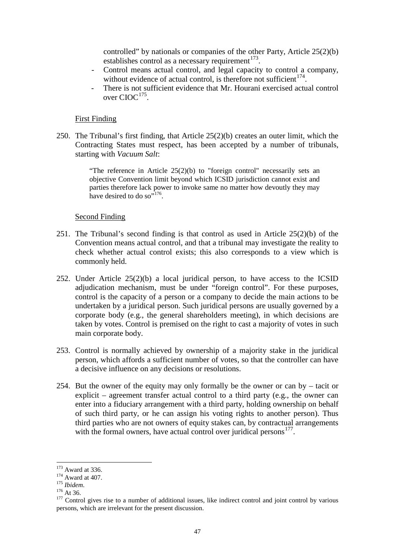controlled" by nationals or companies of the other Party, Article 25(2)(b) establishes control as a necessary requirement $173$ .

- Control means actual control, and legal capacity to control a company, without evidence of actual control, is therefore not sufficient<sup> $174$ </sup>.
- There is not sufficient evidence that Mr. Hourani exercised actual control over CIOC<sup>[175](#page-52-2)</sup>.

#### First Finding

250. The Tribunal's first finding, that Article 25(2)(b) creates an outer limit, which the Contracting States must respect, has been accepted by a number of tribunals, starting with *Vacuum Salt*:

> "The reference in Article 25(2)(b) to "foreign control" necessarily sets an objective Convention limit beyond which ICSID jurisdiction cannot exist and parties therefore lack power to invoke same no matter how devoutly they may have desired to do so $\sqrt{176}$  $\sqrt{176}$  $\sqrt{176}$ .

#### Second Finding

- 251. The Tribunal's second finding is that control as used in Article 25(2)(b) of the Convention means actual control, and that a tribunal may investigate the reality to check whether actual control exists; this also corresponds to a view which is commonly held.
- 252. Under Article 25(2)(b) a local juridical person, to have access to the ICSID adjudication mechanism, must be under "foreign control". For these purposes, control is the capacity of a person or a company to decide the main actions to be undertaken by a juridical person. Such juridical persons are usually governed by a corporate body (e.g., the general shareholders meeting), in which decisions are taken by votes. Control is premised on the right to cast a majority of votes in such main corporate body.
- 253. Control is normally achieved by ownership of a majority stake in the juridical person, which affords a sufficient number of votes, so that the controller can have a decisive influence on any decisions or resolutions.
- 254. But the owner of the equity may only formally be the owner or can by tacit or explicit – agreement transfer actual control to a third party (e.g., the owner can enter into a fiduciary arrangement with a third party, holding ownership on behalf of such third party, or he can assign his voting rights to another person). Thus third parties who are not owners of equity stakes can, by contractual arrangements with the formal owners, have actual control over juridical persons $177$ .

<span id="page-52-2"></span>

<span id="page-52-4"></span><span id="page-52-3"></span>

<span id="page-52-1"></span><span id="page-52-0"></span><sup>&</sup>lt;sup>173</sup> Award at 336.<br><sup>174</sup> Award at 407.<br><sup>175</sup> *Ibidem*.<br><sup>176</sup> At 36.<br><sup>177</sup> Control gives rise to a number of additional issues, like indirect control and joint control by various persons, which are irrelevant for the present discussion.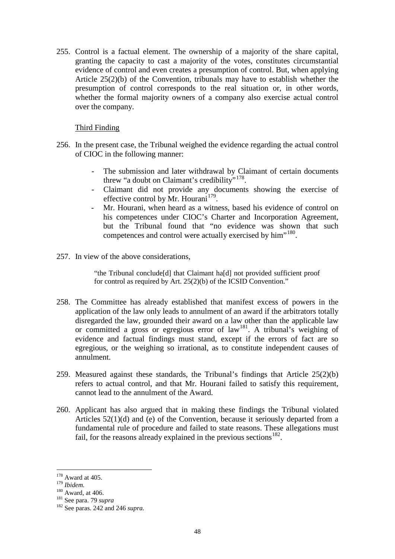255. Control is a factual element. The ownership of a majority of the share capital, granting the capacity to cast a majority of the votes, constitutes circumstantial evidence of control and even creates a presumption of control. But, when applying Article 25(2)(b) of the Convention, tribunals may have to establish whether the presumption of control corresponds to the real situation or, in other words, whether the formal majority owners of a company also exercise actual control over the company.

# Third Finding

- 256. In the present case, the Tribunal weighed the evidence regarding the actual control of CIOC in the following manner:
	- The submission and later withdrawal by Claimant of certain documents threw "a doubt on Claimant's credibility"<sup>[178](#page-53-0)</sup>.
	- Claimant did not provide any documents showing the exercise of effective control by Mr. Hourani $^{179}$ .
	- Mr. Hourani, when heard as a witness, based his evidence of control on his competences under CIOC's Charter and Incorporation Agreement, but the Tribunal found that "no evidence was shown that such competences and control were actually exercised by him"<sup>[180](#page-53-2)</sup>.
- 257. In view of the above considerations,

"the Tribunal conclude[d] that Claimant ha[d] not provided sufficient proof for control as required by Art. 25(2)(b) of the ICSID Convention."

- 258. The Committee has already established that manifest excess of powers in the application of the law only leads to annulment of an award if the arbitrators totally disregarded the law, grounded their award on a law other than the applicable law or committed a gross or egregious error of law<sup>181</sup>. A tribunal's weighing of evidence and factual findings must stand, except if the errors of fact are so egregious, or the weighing so irrational, as to constitute independent causes of annulment.
- 259. Measured against these standards, the Tribunal's findings that Article 25(2)(b) refers to actual control, and that Mr. Hourani failed to satisfy this requirement, cannot lead to the annulment of the Award.
- 260. Applicant has also argued that in making these findings the Tribunal violated Articles 52(1)(d) and (e) of the Convention, because it seriously departed from a fundamental rule of procedure and failed to state reasons. These allegations must fail, for the reasons already explained in the previous sections<sup>182</sup>.

<span id="page-53-0"></span><sup>&</sup>lt;sup>178</sup> Award at 405.<br><sup>179</sup> *Ibidem*.

<span id="page-53-4"></span>

<span id="page-53-3"></span><span id="page-53-2"></span><span id="page-53-1"></span><sup>179</sup> *Ibidem.* <sup>180</sup> Award, at 406. <sup>181</sup> See para[. 79](#page-20-7) *supra* <sup>182</sup> See paras. [242](#page-50-4) and [246](#page-51-3) *supra.*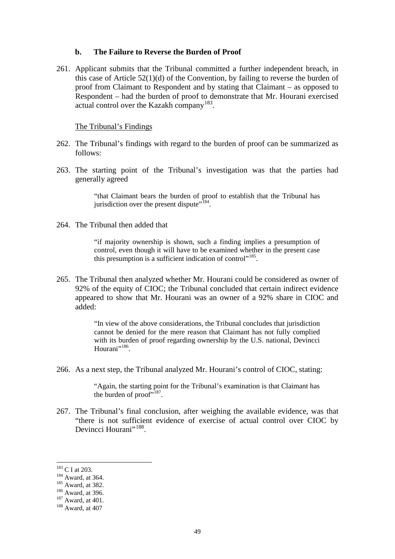#### **b. The Failure to Reverse the Burden of Proof**

261. Applicant submits that the Tribunal committed a further independent breach, in this case of Article 52(1)(d) of the Convention, by failing to reverse the burden of proof from Claimant to Respondent and by stating that Claimant – as opposed to Respondent – had the burden of proof to demonstrate that Mr. Hourani exercised actual control over the Kazakh company<sup>[183](#page-54-0)</sup>.

#### The Tribunal's Findings

- 262. The Tribunal's findings with regard to the burden of proof can be summarized as follows:
- 263. The starting point of the Tribunal's investigation was that the parties had generally agreed

"that Claimant bears the burden of proof to establish that the Tribunal has jurisdiction over the present dispute"<sup>[184](#page-54-1)</sup>.

264. The Tribunal then added that

"if majority ownership is shown, such a finding implies a presumption of control, even though it will have to be examined whether in the present case this presumption is a sufficient indication of control<sup> $185$ </sup>.

265. The Tribunal then analyzed whether Mr. Hourani could be considered as owner of 92% of the equity of CIOC; the Tribunal concluded that certain indirect evidence appeared to show that Mr. Hourani was an owner of a 92% share in CIOC and added:

> "In view of the above considerations, the Tribunal concludes that jurisdiction cannot be denied for the mere reason that Claimant has not fully complied with its burden of proof regarding ownership by the U.S. national, Devincci Hourani"<sup>186</sup>

266. As a next step, the Tribunal analyzed Mr. Hourani's control of CIOC, stating:

"Again, the starting point for the Tribunal's examination is that Claimant has the burden of proof"<sup>187</sup>.

267. The Tribunal's final conclusion, after weighing the available evidence, was that "there is not sufficient evidence of exercise of actual control over CIOC by Devincci Hourani"<sup>[188](#page-54-5)</sup>

<span id="page-54-1"></span>

<span id="page-54-2"></span>

<span id="page-54-4"></span><span id="page-54-3"></span>

<span id="page-54-0"></span><sup>&</sup>lt;sup>183</sup> C I at 203.<br><sup>184</sup> Award, at 364.<br><sup>185</sup> Award, at 382.<br><sup>186</sup> Award, at 401.<br><sup>188</sup> Award, at 407

<span id="page-54-5"></span>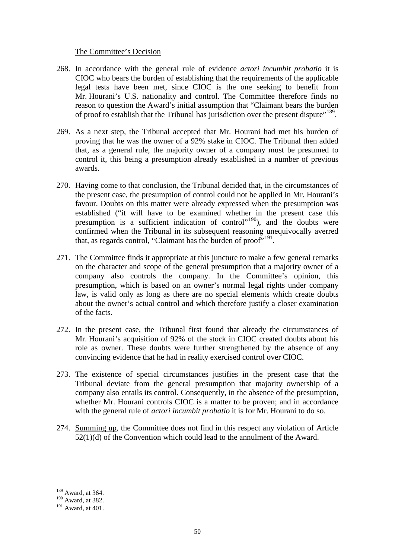#### The Committee's Decision

- 268. In accordance with the general rule of evidence *actori incumbit probatio* it is CIOC who bears the burden of establishing that the requirements of the applicable legal tests have been met, since CIOC is the one seeking to benefit from Mr. Hourani's U.S. nationality and control. The Committee therefore finds no reason to question the Award's initial assumption that "Claimant bears the burden of proof to establish that the Tribunal has jurisdiction over the present dispute<sup> $189$ </sup>.
- 269. As a next step, the Tribunal accepted that Mr. Hourani had met his burden of proving that he was the owner of a 92% stake in CIOC. The Tribunal then added that, as a general rule, the majority owner of a company must be presumed to control it, this being a presumption already established in a number of previous awards.
- 270. Having come to that conclusion, the Tribunal decided that, in the circumstances of the present case, the presumption of control could not be applied in Mr. Hourani's favour. Doubts on this matter were already expressed when the presumption was established ("it will have to be examined whether in the present case this presumption is a sufficient indication of control<sup> $n^{190}$ </sup>), and the doubts were confirmed when the Tribunal in its subsequent reasoning unequivocally averred that, as regards control, "Claimant has the burden of proof"<sup>[191](#page-55-2)</sup>.
- 271. The Committee finds it appropriate at this juncture to make a few general remarks on the character and scope of the general presumption that a majority owner of a company also controls the company. In the Committee's opinion, this presumption, which is based on an owner's normal legal rights under company law, is valid only as long as there are no special elements which create doubts about the owner's actual control and which therefore justify a closer examination of the facts.
- 272. In the present case, the Tribunal first found that already the circumstances of Mr. Hourani's acquisition of 92% of the stock in CIOC created doubts about his role as owner. These doubts were further strengthened by the absence of any convincing evidence that he had in reality exercised control over CIOC.
- 273. The existence of special circumstances justifies in the present case that the Tribunal deviate from the general presumption that majority ownership of a company also entails its control. Consequently, in the absence of the presumption, whether Mr. Hourani controls CIOC is a matter to be proven; and in accordance with the general rule of *actori incumbit probatio* it is for Mr. Hourani to do so.
- <span id="page-55-3"></span>274. Summing up, the Committee does not find in this respect any violation of Article 52(1)(d) of the Convention which could lead to the annulment of the Award.

<span id="page-55-0"></span> <sup>189</sup> Award, at 364.

<span id="page-55-1"></span><sup>&</sup>lt;sup>190</sup> Award, at 382.

<span id="page-55-2"></span> $191$  Award, at 401.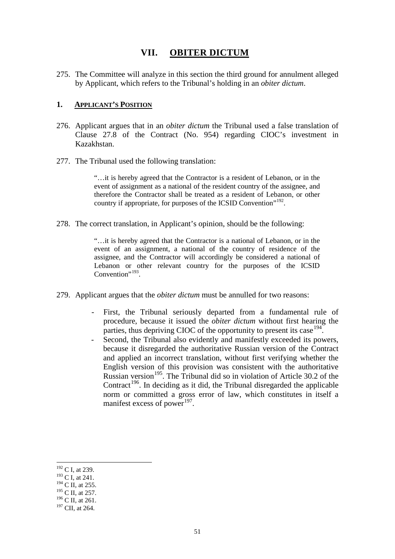# **VII. OBITER DICTUM**

<span id="page-56-0"></span>275. The Committee will analyze in this section the third ground for annulment alleged by Applicant, which refers to the Tribunal's holding in an *obiter dictum*.

#### <span id="page-56-1"></span>**1. APPLICANT'S POSITION**

- 276. Applicant argues that in an *obiter dictum* the Tribunal used a false translation of Clause 27.8 of the Contract (No. 954) regarding CIOC's investment in Kazakhstan.
- 277. The Tribunal used the following translation:

"…it is hereby agreed that the Contractor is a resident of Lebanon, or in the event of assignment as a national of the resident country of the assignee, and therefore the Contractor shall be treated as a resident of Lebanon, or other country if appropriate, for purposes of the ICSID Convention"[192.](#page-56-2)

278. The correct translation, in Applicant's opinion, should be the following:

"…it is hereby agreed that the Contractor is a national of Lebanon, or in the event of an assignment, a national of the country of residence of the assignee, and the Contractor will accordingly be considered a national of Lebanon or other relevant country for the purposes of the ICSID Convention"<sup>[193](#page-56-3)</sup>.

- 279. Applicant argues that the *obiter dictum* must be annulled for two reasons:
	- First, the Tribunal seriously departed from a fundamental rule of procedure, because it issued the *obiter dictum* without first hearing the parties, thus depriving CIOC of the opportunity to present its case  $194$ .
	- Second, the Tribunal also evidently and manifestly exceeded its powers, because it disregarded the authoritative Russian version of the Contract and applied an incorrect translation, without first verifying whether the English version of this provision was consistent with the authoritative Russian version<sup>195</sup>. The Tribunal did so in violation of Article 30.2 of the Contract<sup>196</sup>. In deciding as it did, the Tribunal disregarded the applicable norm or committed a gross error of law, which constitutes in itself a manifest excess of power<sup>[197](#page-56-7)</sup>.

<span id="page-56-2"></span><sup>&</sup>lt;sup>192</sup> C I, at 239.

<span id="page-56-3"></span><sup>&</sup>lt;sup>193</sup> C I, at 241.

<span id="page-56-4"></span><sup>&</sup>lt;sup>194</sup> C II, at 255.

<span id="page-56-5"></span><sup>&</sup>lt;sup>195</sup> C II, at 257.

<span id="page-56-6"></span><sup>196</sup> C II*,* at 261.

<span id="page-56-7"></span><sup>&</sup>lt;sup>197</sup> CII, at 264.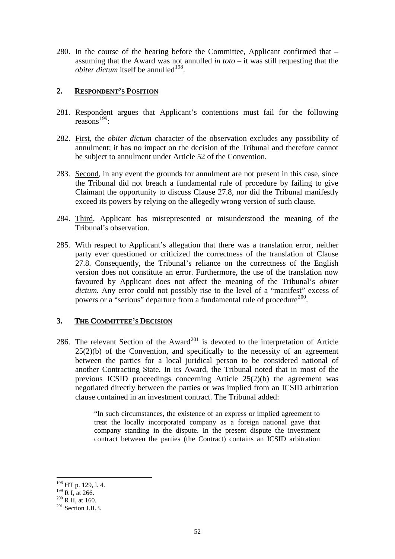280. In the course of the hearing before the Committee, Applicant confirmed that – assuming that the Award was not annulled *in toto* – it was still requesting that the *obiter dictum* itself be annulled<sup>[198](#page-57-2)</sup>.

### <span id="page-57-0"></span>**2. RESPONDENT'S POSITION**

- 281. Respondent argues that Applicant's contentions must fail for the following  $r_{\rm easons}$ <sup>[199](#page-57-3)</sup>:
- 282. First, the *obiter dictum* character of the observation excludes any possibility of annulment; it has no impact on the decision of the Tribunal and therefore cannot be subject to annulment under Article 52 of the Convention.
- 283. Second, in any event the grounds for annulment are not present in this case, since the Tribunal did not breach a fundamental rule of procedure by failing to give Claimant the opportunity to discuss Clause 27.8, nor did the Tribunal manifestly exceed its powers by relying on the allegedly wrong version of such clause.
- 284. Third, Applicant has misrepresented or misunderstood the meaning of the Tribunal's observation.
- 285. With respect to Applicant's allegation that there was a translation error, neither party ever questioned or criticized the correctness of the translation of Clause 27.8. Consequently, the Tribunal's reliance on the correctness of the English version does not constitute an error. Furthermore, the use of the translation now favoured by Applicant does not affect the meaning of the Tribunal's *obiter dictum.* Any error could not possibly rise to the level of a "manifest" excess of powers or a "serious" departure from a fundamental rule of procedure<sup>[200](#page-57-4)</sup>.

# <span id="page-57-1"></span>**3. THE COMMITTEE'S DECISION**

286. The relevant Section of the Award<sup>[201](#page-57-5)</sup> is devoted to the interpretation of Article  $25(2)(b)$  of the Convention, and specifically to the necessity of an agreement between the parties for a local juridical person to be considered national of another Contracting State. In its Award, the Tribunal noted that in most of the previous ICSID proceedings concerning Article 25(2)(b) the agreement was negotiated directly between the parties or was implied from an ICSID arbitration clause contained in an investment contract. The Tribunal added:

> "In such circumstances, the existence of an express or implied agreement to treat the locally incorporated company as a foreign national gave that company standing in the dispute. In the present dispute the investment contract between the parties (the Contract) contains an ICSID arbitration

<span id="page-57-2"></span><sup>&</sup>lt;sup>198</sup> HT p. 129, l. 4.<br><sup>199</sup> R I. at 266.

<span id="page-57-3"></span>

<span id="page-57-4"></span> $^{200}$  R II, at 160.<br><sup>201</sup> Section J.II.3.

<span id="page-57-5"></span>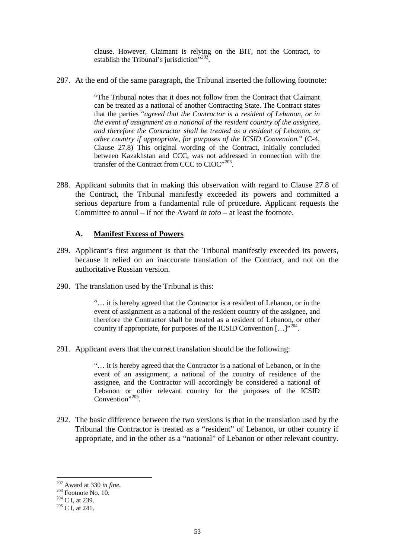clause. However, Claimant is relying on the BIT, not the Contract, to establish the Tribunal's jurisdiction"<sup>202</sup>.

287. At the end of the same paragraph, the Tribunal inserted the following footnote:

"The Tribunal notes that it does not follow from the Contract that Claimant can be treated as a national of another Contracting State. The Contract states that the parties "*agreed that the Contractor is a resident of Lebanon, or in the event of assignment as a national of the resident country of the assignee, and therefore the Contractor shall be treated as a resident of Lebanon, or other country if appropriate, for purposes of the ICSID Convention.*" (C-4, Clause 27.8) This original wording of the Contract, initially concluded between Kazakhstan and CCC, was not addressed in connection with the transfer of the Contract from CCC to CIOC"<sup>[203](#page-58-1)</sup>.

288. Applicant submits that in making this observation with regard to Clause 27.8 of the Contract, the Tribunal manifestly exceeded its powers and committed a serious departure from a fundamental rule of procedure. Applicant requests the Committee to annul – if not the Award *in toto* – at least the footnote.

### **A. Manifest Excess of Powers**

- 289. Applicant's first argument is that the Tribunal manifestly exceeded its powers, because it relied on an inaccurate translation of the Contract, and not on the authoritative Russian version.
- 290. The translation used by the Tribunal is this:

"… it is hereby agreed that the Contractor is a resident of Lebanon, or in the event of assignment as a national of the resident country of the assignee, and therefore the Contractor shall be treated as a resident of Lebanon, or other country if appropriate, for purposes of the ICSID Convention  $[\dots]^{204}$ .

291. Applicant avers that the correct translation should be the following:

"… it is hereby agreed that the Contractor is a national of Lebanon, or in the event of an assignment, a national of the country of residence of the assignee, and the Contractor will accordingly be considered a national of Lebanon or other relevant country for the purposes of the ICSID Convention"<sup>[205](#page-58-3)</sup>

292. The basic difference between the two versions is that in the translation used by the Tribunal the Contractor is treated as a "resident" of Lebanon, or other country if appropriate, and in the other as a "national" of Lebanon or other relevant country.

<span id="page-58-0"></span><sup>&</sup>lt;sup>202</sup> Award at 330 *in fine*.<br><sup>203</sup> Footnote No. 10.<br><sup>204</sup> C I, at 239.<br><sup>205</sup> C I, at 241.

<span id="page-58-1"></span>

<span id="page-58-2"></span>

<span id="page-58-3"></span>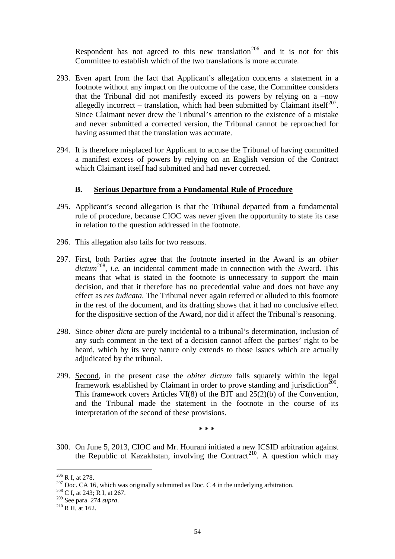Respondent has not agreed to this new translation<sup>[206](#page-59-0)</sup> and it is not for this Committee to establish which of the two translations is more accurate.

- 293. Even apart from the fact that Applicant's allegation concerns a statement in a footnote without any impact on the outcome of the case, the Committee considers that the Tribunal did not manifestly exceed its powers by relying on a –now allegedly incorrect – translation, which had been submitted by Claimant itself<sup>[207](#page-59-1)</sup>. Since Claimant never drew the Tribunal's attention to the existence of a mistake and never submitted a corrected version, the Tribunal cannot be reproached for having assumed that the translation was accurate.
- 294. It is therefore misplaced for Applicant to accuse the Tribunal of having committed a manifest excess of powers by relying on an English version of the Contract which Claimant itself had submitted and had never corrected.

#### **B. Serious Departure from a Fundamental Rule of Procedure**

- 295. Applicant's second allegation is that the Tribunal departed from a fundamental rule of procedure, because CIOC was never given the opportunity to state its case in relation to the question addressed in the footnote.
- 296. This allegation also fails for two reasons.
- 297. First, both Parties agree that the footnote inserted in the Award is an *obiter dictum*[208](#page-59-2)*, i.e.* an incidental comment made in connection with the Award. This means that what is stated in the footnote is unnecessary to support the main decision, and that it therefore has no precedential value and does not have any effect as *res iudicata*. The Tribunal never again referred or alluded to this footnote in the rest of the document, and its drafting shows that it had no conclusive effect for the dispositive section of the Award, nor did it affect the Tribunal's reasoning.
- 298. Since *obiter dicta* are purely incidental to a tribunal's determination, inclusion of any such comment in the text of a decision cannot affect the parties' right to be heard, which by its very nature only extends to those issues which are actually adjudicated by the tribunal.
- 299. Second, in the present case the *obiter dictum* falls squarely within the legal framework established by Claimant in order to prove standing and jurisdiction<sup> $209$ </sup>. This framework covers Articles VI(8) of the BIT and 25(2)(b) of the Convention, and the Tribunal made the statement in the footnote in the course of its interpretation of the second of these provisions.

**\* \* \***

300. On June 5, 2013, CIOC and Mr. Hourani initiated a new ICSID arbitration against the Republic of Kazakhstan, involving the Contract<sup>[210](#page-59-4)</sup>. A question which may

<span id="page-59-1"></span><span id="page-59-0"></span><sup>&</sup>lt;sup>206</sup> R I, at 278.<br><sup>207</sup> Doc. CA 16, which was originally submitted as Doc. C 4 in the underlying arbitration.<br><sup>208</sup> C I, at 243; R I, at 267.

<span id="page-59-3"></span><span id="page-59-2"></span><sup>&</sup>lt;sup>209</sup> See para[. 274](#page-55-3) *supra*.<br><sup>210</sup> R II, at 162.

<span id="page-59-4"></span>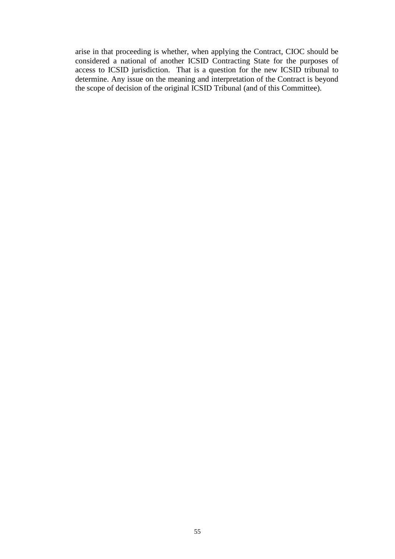arise in that proceeding is whether, when applying the Contract, CIOC should be considered a national of another ICSID Contracting State for the purposes of access to ICSID jurisdiction. That is a question for the new ICSID tribunal to determine. Any issue on the meaning and interpretation of the Contract is beyond the scope of decision of the original ICSID Tribunal (and of this Committee).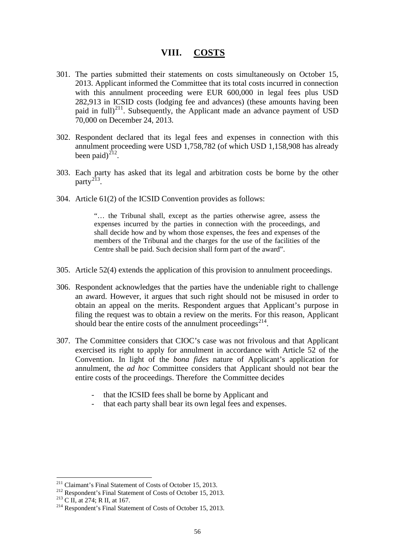# **VIII. COSTS**

- <span id="page-61-0"></span>301. The parties submitted their statements on costs simultaneously on October 15, 2013. Applicant informed the Committee that its total costs incurred in connection with this annulment proceeding were EUR 600,000 in legal fees plus USD 282,913 in ICSID costs (lodging fee and advances) (these amounts having been paid in full)<sup>211</sup>. Subsequently, the Applicant made an advance payment of USD 70,000 on December 24, 2013.
- 302. Respondent declared that its legal fees and expenses in connection with this annulment proceeding were USD 1,758,782 (of which USD 1,158,908 has already been paid) $^{212}$ .
- 303. Each party has asked that its legal and arbitration costs be borne by the other party<sup>213</sup>.
- 304. Article 61(2) of the ICSID Convention provides as follows:

"… the Tribunal shall, except as the parties otherwise agree, assess the expenses incurred by the parties in connection with the proceedings, and shall decide how and by whom those expenses, the fees and expenses of the members of the Tribunal and the charges for the use of the facilities of the Centre shall be paid. Such decision shall form part of the award".

- 305. Article 52(4) extends the application of this provision to annulment proceedings.
- 306. Respondent acknowledges that the parties have the undeniable right to challenge an award. However, it argues that such right should not be misused in order to obtain an appeal on the merits. Respondent argues that Applicant's purpose in filing the request was to obtain a review on the merits. For this reason, Applicant should bear the entire costs of the annulment proceedings<sup>[214](#page-61-4)</sup>.
- 307. The Committee considers that CIOC's case was not frivolous and that Applicant exercised its right to apply for annulment in accordance with Article 52 of the Convention. In light of the *bona fides* nature of Applicant's application for annulment, the *ad hoc* Committee considers that Applicant should not bear the entire costs of the proceedings. Therefore the Committee decides
	- that the ICSID fees shall be borne by Applicant and
	- that each party shall bear its own legal fees and expenses.

<span id="page-61-2"></span><span id="page-61-1"></span><sup>&</sup>lt;sup>211</sup> Claimant's Final Statement of Costs of October 15, 2013.<br><sup>212</sup> Respondent's Final Statement of Costs of October 15, 2013.<br><sup>214</sup> Respondent's Final Statement of Costs of October 15, 2013.

<span id="page-61-3"></span>

<span id="page-61-4"></span>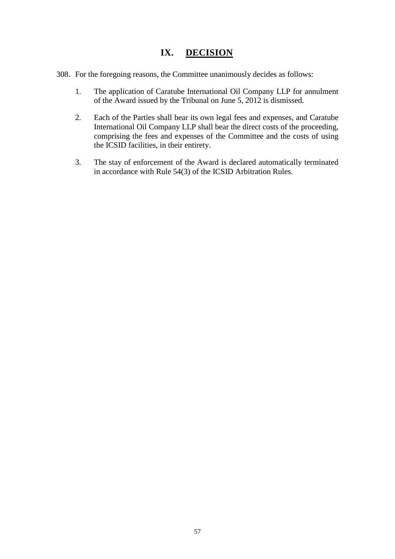# **IX. DECISION**

- <span id="page-62-0"></span>308. For the foregoing reasons, the Committee unanimously decides as follows:
	- 1. The application of Caratube International Oil Company LLP for annulment of the Award issued by the Tribunal on June 5, 2012 is dismissed.
	- 2. Each of the Parties shall bear its own legal fees and expenses, and Caratube International Oil Company LLP shall bear the direct costs of the proceeding, comprising the fees and expenses of the Committee and the costs of using the ICSID facilities, in their entirety.
	- 3. The stay of enforcement of the Award is declared automatically terminated in accordance with Rule 54(3) of the ICSID Arbitration Rules.